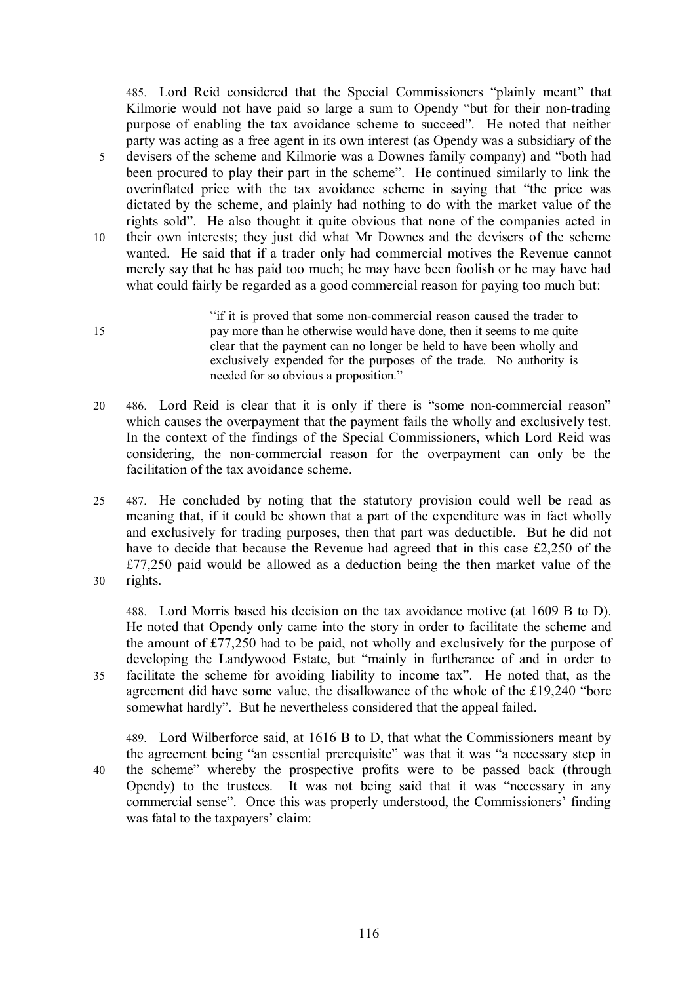485. Lord Reid considered that the Special Commissioners "plainly meant" that Kilmorie would not have paid so large a sum to Opendy "but for their non-trading purpose of enabling the tax avoidance scheme to succeed". He noted that neither party was acting as a free agent in its own interest (as Opendy was a subsidiary of the 5 devisers of the scheme and Kilmorie was a Downes family company) and "both had been procured to play their part in the scheme". He continued similarly to link the overinflated price with the tax avoidance scheme in saying that "the price was dictated by the scheme, and plainly had nothing to do with the market value of the rights sold". He also thought it quite obvious that none of the companies acted in 10 their own interests; they just did what Mr Downes and the devisers of the scheme wanted. He said that if a trader only had commercial motives the Revenue cannot merely say that he has paid too much; he may have been foolish or he may have had what could fairly be regarded as a good commercial reason for paying too much but:

- "if it is proved that some non-commercial reason caused the trader to 15 pay more than he otherwise would have done, then it seems to me quite clear that the payment can no longer be held to have been wholly and exclusively expended for the purposes of the trade. No authority is needed for so obvious a proposition."
- 20 486. Lord Reid is clear that it is only if there is "some non-commercial reason" which causes the overpayment that the payment fails the wholly and exclusively test. In the context of the findings of the Special Commissioners, which Lord Reid was considering, the non-commercial reason for the overpayment can only be the facilitation of the tax avoidance scheme.
- 25 487. He concluded by noting that the statutory provision could well be read as meaning that, if it could be shown that a part of the expenditure was in fact wholly and exclusively for trading purposes, then that part was deductible. But he did not have to decide that because the Revenue had agreed that in this case £2,250 of the £77,250 paid would be allowed as a deduction being the then market value of the 30 rights.

488. Lord Morris based his decision on the tax avoidance motive (at 1609 B to D). He noted that Opendy only came into the story in order to facilitate the scheme and the amount of £77,250 had to be paid, not wholly and exclusively for the purpose of developing the Landywood Estate, but "mainly in furtherance of and in order to 35 facilitate the scheme for avoiding liability to income tax". He noted that, as the agreement did have some value, the disallowance of the whole of the £19,240 "bore somewhat hardly". But he nevertheless considered that the appeal failed.

489. Lord Wilberforce said, at 1616 B to D, that what the Commissioners meant by the agreement being "an essential prerequisite" was that it was "a necessary step in 40 the scheme" whereby the prospective profits were to be passed back (through Opendy) to the trustees. It was not being said that it was "necessary in any commercial sense". Once this was properly understood, the Commissioners' finding was fatal to the taxpayers' claim:

116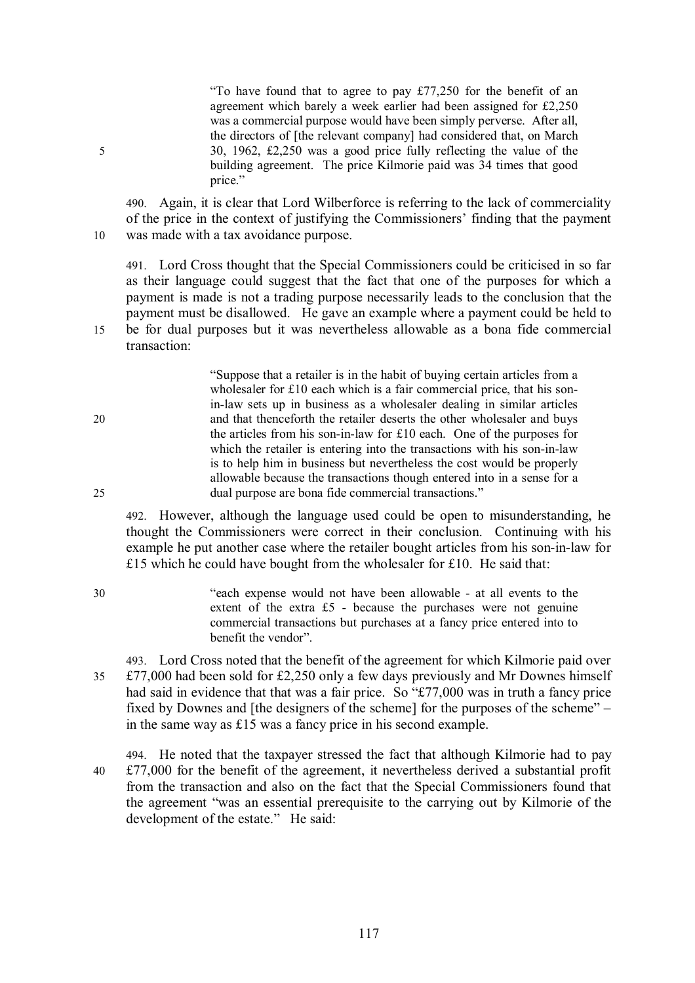"To have found that to agree to pay £77,250 for the benefit of an agreement which barely a week earlier had been assigned for £2,250 was a commercial purpose would have been simply perverse. After all, the directors of [the relevant company] had considered that, on March 5 30, 1962, £2,250 was a good price fully reflecting the value of the building agreement. The price Kilmorie paid was 34 times that good price."

490. Again, it is clear that Lord Wilberforce is referring to the lack of commerciality of the price in the context of justifying the Commissioners' finding that the payment 10 was made with a tax avoidance purpose.

491. Lord Cross thought that the Special Commissioners could be criticised in so far as their language could suggest that the fact that one of the purposes for which a payment is made is not a trading purpose necessarily leads to the conclusion that the payment must be disallowed. He gave an example where a payment could be held to 15 be for dual purposes but it was nevertheless allowable as a bona fide commercial transaction:

"Suppose that a retailer is in the habit of buying certain articles from a wholesaler for £10 each which is a fair commercial price, that his sonin-law sets up in business as a wholesaler dealing in similar articles 20 and that thenceforth the retailer deserts the other wholesaler and buys the articles from his son-in-law for £10 each. One of the purposes for which the retailer is entering into the transactions with his son-in-law is to help him in business but nevertheless the cost would be properly allowable because the transactions though entered into in a sense for a 25 dual purpose are bona fide commercial transactions."

492. However, although the language used could be open to misunderstanding, he thought the Commissioners were correct in their conclusion. Continuing with his example he put another case where the retailer bought articles from his son-in-law for £15 which he could have bought from the wholesaler for £10. He said that:

30 "each expense would not have been allowable - at all events to the extent of the extra £5 - because the purchases were not genuine commercial transactions but purchases at a fancy price entered into to benefit the vendor".

493. Lord Cross noted that the benefit of the agreement for which Kilmorie paid over 35 £77,000 had been sold for £2,250 only a few days previously and Mr Downes himself had said in evidence that that was a fair price. So "£77,000 was in truth a fancy price fixed by Downes and [the designers of the scheme] for the purposes of the scheme" – in the same way as £15 was a fancy price in his second example.

494. He noted that the taxpayer stressed the fact that although Kilmorie had to pay 40 £77,000 for the benefit of the agreement, it nevertheless derived a substantial profit from the transaction and also on the fact that the Special Commissioners found that the agreement "was an essential prerequisite to the carrying out by Kilmorie of the development of the estate." He said: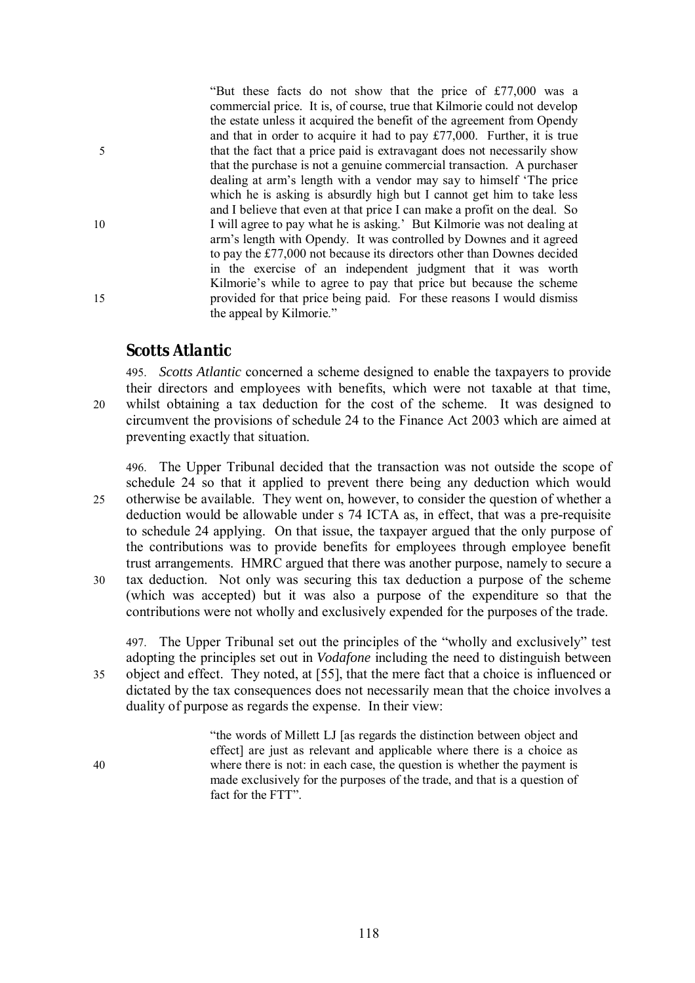"But these facts do not show that the price of £77,000 was a commercial price. It is, of course, true that Kilmorie could not develop the estate unless it acquired the benefit of the agreement from Opendy and that in order to acquire it had to pay £77,000. Further, it is true 5 that the fact that a price paid is extravagant does not necessarily show that the purchase is not a genuine commercial transaction. A purchaser dealing at arm's length with a vendor may say to himself 'The price which he is asking is absurdly high but I cannot get him to take less and I believe that even at that price I can make a profit on the deal. So 10 I will agree to pay what he is asking.' But Kilmorie was not dealing at arm's length with Opendy. It was controlled by Downes and it agreed to pay the £77,000 not because its directors other than Downes decided in the exercise of an independent judgment that it was worth Kilmorie's while to agree to pay that price but because the scheme 15 provided for that price being paid. For these reasons I would dismiss the appeal by Kilmorie."

### *Scotts Atlantic*

495. *Scotts Atlantic* concerned a scheme designed to enable the taxpayers to provide their directors and employees with benefits, which were not taxable at that time, 20 whilst obtaining a tax deduction for the cost of the scheme. It was designed to circumvent the provisions of schedule 24 to the Finance Act 2003 which are aimed at preventing exactly that situation.

496. The Upper Tribunal decided that the transaction was not outside the scope of schedule 24 so that it applied to prevent there being any deduction which would 25 otherwise be available. They went on, however, to consider the question of whether a deduction would be allowable under s 74 ICTA as, in effect, that was a pre-requisite to schedule 24 applying. On that issue, the taxpayer argued that the only purpose of the contributions was to provide benefits for employees through employee benefit trust arrangements. HMRC argued that there was another purpose, namely to secure a 30 tax deduction. Not only was securing this tax deduction a purpose of the scheme (which was accepted) but it was also a purpose of the expenditure so that the contributions were not wholly and exclusively expended for the purposes of the trade.

497. The Upper Tribunal set out the principles of the "wholly and exclusively" test adopting the principles set out in *Vodafone* including the need to distinguish between 35 object and effect. They noted, at [55], that the mere fact that a choice is influenced or dictated by the tax consequences does not necessarily mean that the choice involves a duality of purpose as regards the expense. In their view:

"the words of Millett LJ [as regards the distinction between object and effect] are just as relevant and applicable where there is a choice as 40 where there is not: in each case, the question is whether the payment is made exclusively for the purposes of the trade, and that is a question of fact for the FTT".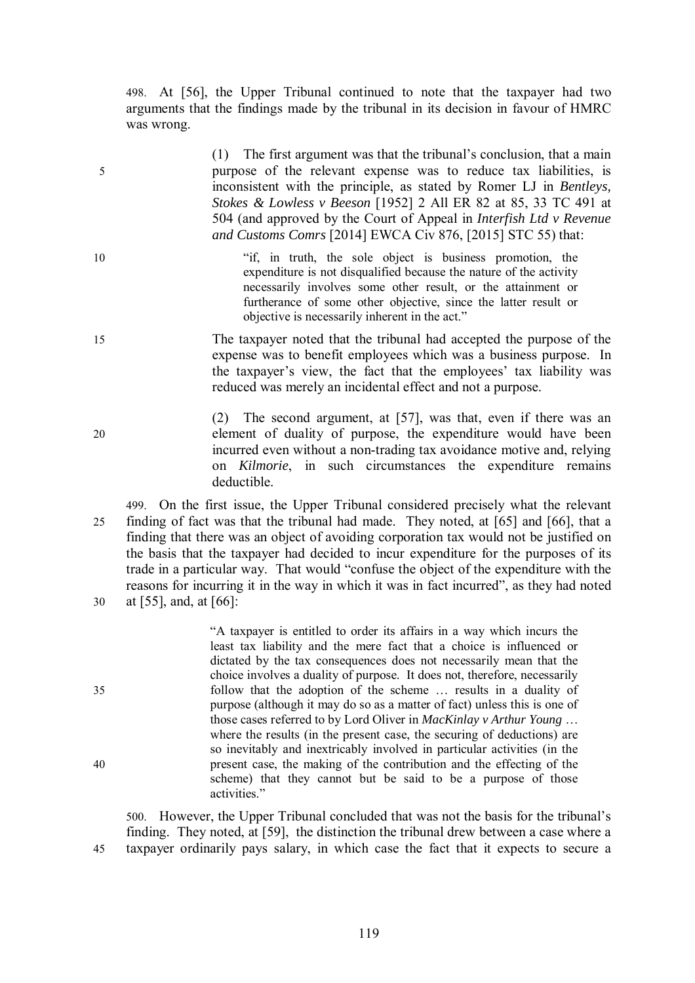498. At [56], the Upper Tribunal continued to note that the taxpayer had two arguments that the findings made by the tribunal in its decision in favour of HMRC was wrong.

(1) The first argument was that the tribunal's conclusion, that a main 5 purpose of the relevant expense was to reduce tax liabilities, is inconsistent with the principle, as stated by Romer LJ in *Bentleys, Stokes & Lowless v Beeson* [1952] 2 All ER 82 at 85, 33 TC 491 at 504 (and approved by the Court of Appeal in *Interfish Ltd v Revenue and Customs Comrs* [2014] EWCA Civ 876, [2015] STC 55) that:

- 10 "if, in truth, the sole object is business promotion, the expenditure is not disqualified because the nature of the activity necessarily involves some other result, or the attainment or furtherance of some other objective, since the latter result or objective is necessarily inherent in the act."
- 15 The taxpayer noted that the tribunal had accepted the purpose of the expense was to benefit employees which was a business purpose. In the taxpayer's view, the fact that the employees' tax liability was reduced was merely an incidental effect and not a purpose.

(2) The second argument, at [57], was that, even if there was an 20 element of duality of purpose, the expenditure would have been incurred even without a non-trading tax avoidance motive and, relying on *Kilmorie*, in such circumstances the expenditure remains deductible.

499. On the first issue, the Upper Tribunal considered precisely what the relevant 25 finding of fact was that the tribunal had made. They noted, at [65] and [66], that a finding that there was an object of avoiding corporation tax would not be justified on the basis that the taxpayer had decided to incur expenditure for the purposes of its trade in a particular way. That would "confuse the object of the expenditure with the reasons for incurring it in the way in which it was in fact incurred", as they had noted 30 at [55], and, at [66]:

"A taxpayer is entitled to order its affairs in a way which incurs the least tax liability and the mere fact that a choice is influenced or dictated by the tax consequences does not necessarily mean that the choice involves a duality of purpose. It does not, therefore, necessarily 35 follow that the adoption of the scheme … results in a duality of purpose (although it may do so as a matter of fact) unless this is one of those cases referred to by Lord Oliver in *MacKinlay v Arthur Young* … where the results (in the present case, the securing of deductions) are so inevitably and inextricably involved in particular activities (in the 40 present case, the making of the contribution and the effecting of the scheme) that they cannot but be said to be a purpose of those activities."

500. However, the Upper Tribunal concluded that was not the basis for the tribunal's finding. They noted, at [59], the distinction the tribunal drew between a case where a 45 taxpayer ordinarily pays salary, in which case the fact that it expects to secure a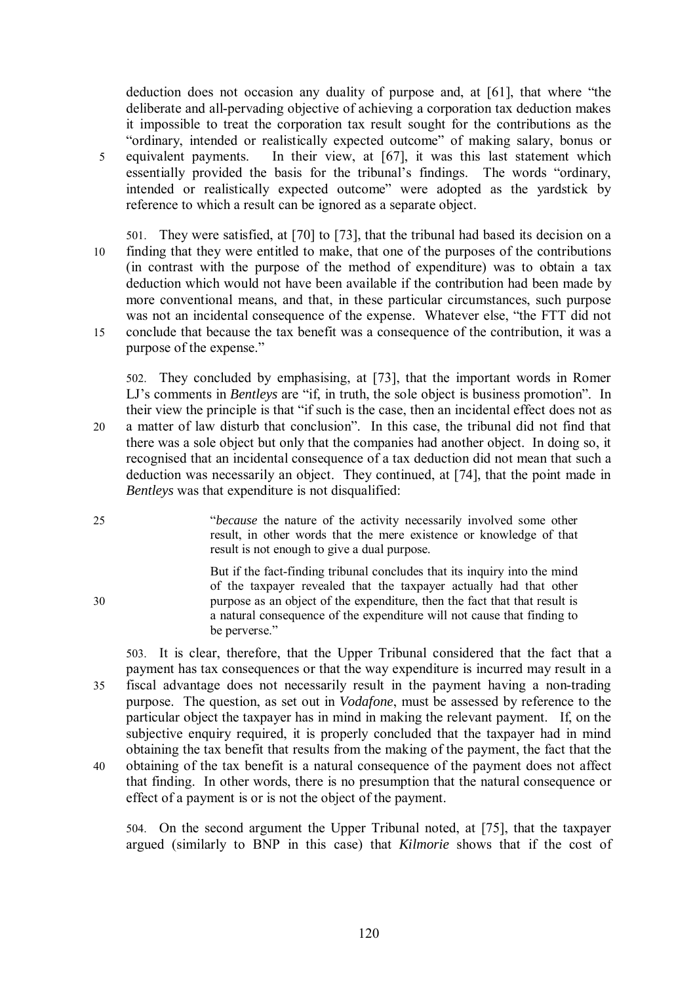deduction does not occasion any duality of purpose and, at [61], that where "the deliberate and all-pervading objective of achieving a corporation tax deduction makes it impossible to treat the corporation tax result sought for the contributions as the "ordinary, intended or realistically expected outcome" of making salary, bonus or 5 equivalent payments. In their view, at [67], it was this last statement which essentially provided the basis for the tribunal's findings. The words "ordinary, intended or realistically expected outcome" were adopted as the yardstick by reference to which a result can be ignored as a separate object.

501. They were satisfied, at [70] to [73], that the tribunal had based its decision on a 10 finding that they were entitled to make, that one of the purposes of the contributions (in contrast with the purpose of the method of expenditure) was to obtain a tax deduction which would not have been available if the contribution had been made by more conventional means, and that, in these particular circumstances, such purpose was not an incidental consequence of the expense. Whatever else, "the FTT did not 15 conclude that because the tax benefit was a consequence of the contribution, it was a purpose of the expense."

502. They concluded by emphasising, at [73], that the important words in Romer LJ's comments in *Bentleys* are "if, in truth, the sole object is business promotion". In their view the principle is that "if such is the case, then an incidental effect does not as 20 a matter of law disturb that conclusion". In this case, the tribunal did not find that there was a sole object but only that the companies had another object. In doing so, it recognised that an incidental consequence of a tax deduction did not mean that such a deduction was necessarily an object. They continued, at [74], that the point made in *Bentleys* was that expenditure is not disqualified:

25 "*because* the nature of the activity necessarily involved some other result, in other words that the mere existence or knowledge of that result is not enough to give a dual purpose.

But if the fact-finding tribunal concludes that its inquiry into the mind of the taxpayer revealed that the taxpayer actually had that other 30 purpose as an object of the expenditure, then the fact that that result is a natural consequence of the expenditure will not cause that finding to be perverse."

503. It is clear, therefore, that the Upper Tribunal considered that the fact that a payment has tax consequences or that the way expenditure is incurred may result in a 35 fiscal advantage does not necessarily result in the payment having a non-trading purpose. The question, as set out in *Vodafone*, must be assessed by reference to the particular object the taxpayer has in mind in making the relevant payment. If, on the subjective enquiry required, it is properly concluded that the taxpayer had in mind obtaining the tax benefit that results from the making of the payment, the fact that the 40 obtaining of the tax benefit is a natural consequence of the payment does not affect that finding. In other words, there is no presumption that the natural consequence or effect of a payment is or is not the object of the payment.

504. On the second argument the Upper Tribunal noted, at [75], that the taxpayer argued (similarly to BNP in this case) that *Kilmorie* shows that if the cost of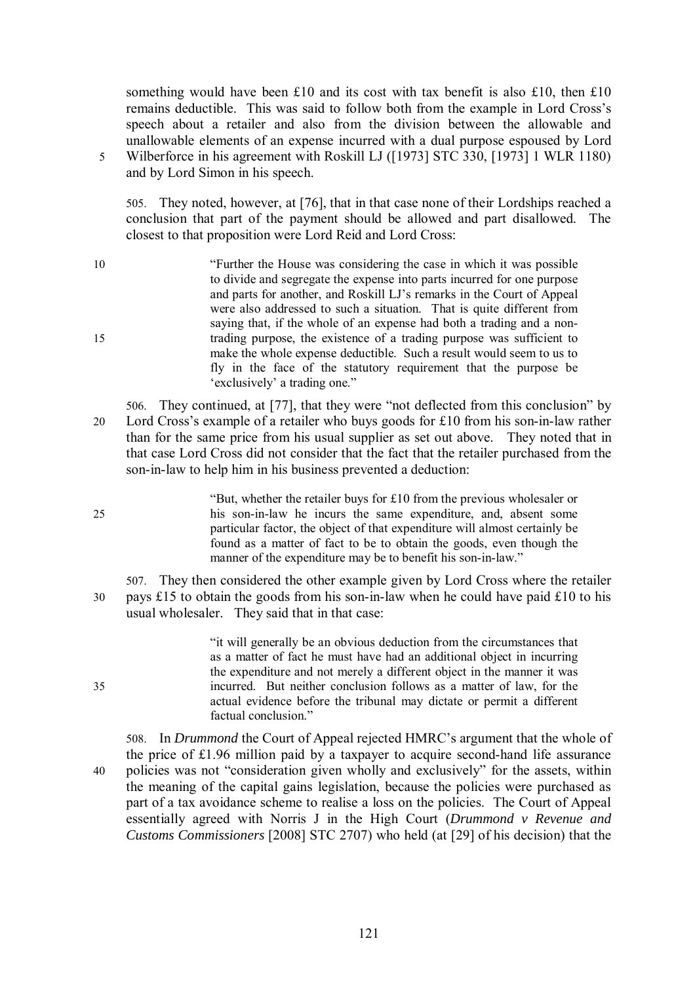something would have been £10 and its cost with tax benefit is also £10, then £10 remains deductible. This was said to follow both from the example in Lord Cross's speech about a retailer and also from the division between the allowable and unallowable elements of an expense incurred with a dual purpose espoused by Lord 5 Wilberforce in his agreement with Roskill LJ ([1973] STC 330, [1973] 1 WLR 1180) and by Lord Simon in his speech.

505. They noted, however, at [76], that in that case none of their Lordships reached a conclusion that part of the payment should be allowed and part disallowed. The closest to that proposition were Lord Reid and Lord Cross:

- 10 "Further the House was considering the case in which it was possible to divide and segregate the expense into parts incurred for one purpose and parts for another, and Roskill LJ's remarks in the Court of Appeal were also addressed to such a situation. That is quite different from saying that, if the whole of an expense had both a trading and a non-15 trading purpose, the existence of a trading purpose was sufficient to make the whole expense deductible. Such a result would seem to us to fly in the face of the statutory requirement that the purpose be 'exclusively' a trading one."
- 506. They continued, at [77], that they were "not deflected from this conclusion" by 20 Lord Cross's example of a retailer who buys goods for £10 from his son-in-law rather than for the same price from his usual supplier as set out above. They noted that in that case Lord Cross did not consider that the fact that the retailer purchased from the son-in-law to help him in his business prevented a deduction:

"But, whether the retailer buys for £10 from the previous wholesaler or 25 his son-in-law he incurs the same expenditure, and, absent some particular factor, the object of that expenditure will almost certainly be found as a matter of fact to be to obtain the goods, even though the manner of the expenditure may be to benefit his son-in-law."

507. They then considered the other example given by Lord Cross where the retailer 30 pays £15 to obtain the goods from his son-in-law when he could have paid £10 to his usual wholesaler. They said that in that case:

"it will generally be an obvious deduction from the circumstances that as a matter of fact he must have had an additional object in incurring the expenditure and not merely a different object in the manner it was 35 incurred. But neither conclusion follows as a matter of law, for the actual evidence before the tribunal may dictate or permit a different factual conclusion."

508. In *Drummond* the Court of Appeal rejected HMRC's argument that the whole of the price of £1.96 million paid by a taxpayer to acquire second-hand life assurance 40 policies was not "consideration given wholly and exclusively" for the assets, within the meaning of the capital gains legislation, because the policies were purchased as part of a tax avoidance scheme to realise a loss on the policies. The Court of Appeal essentially agreed with Norris J in the High Court (*Drummond v Revenue and Customs Commissioners* [2008] STC 2707) who held (at [29] of his decision) that the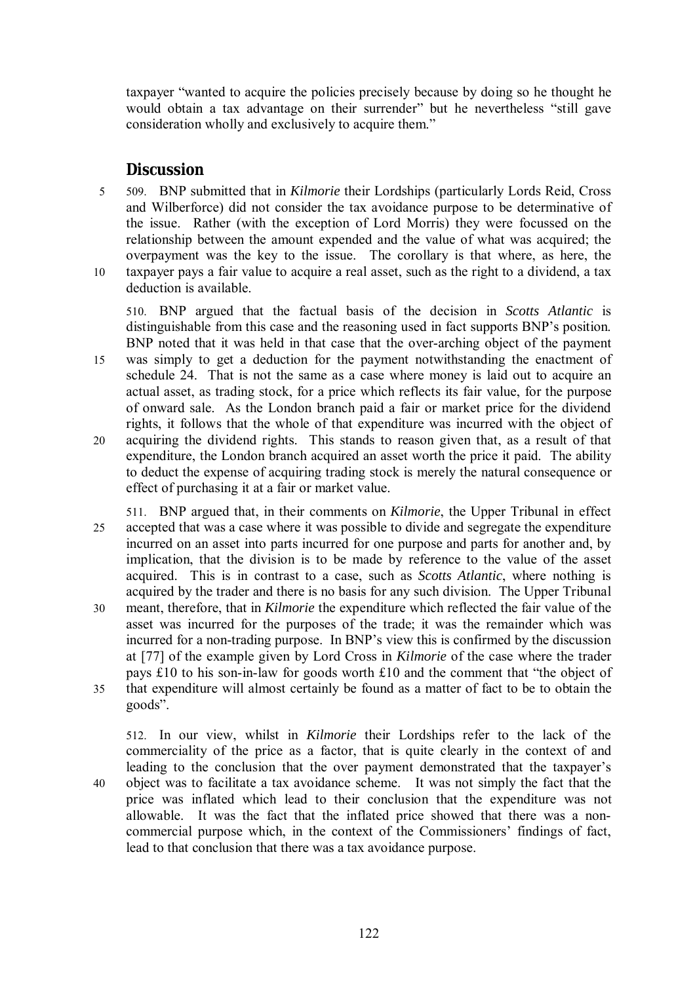taxpayer "wanted to acquire the policies precisely because by doing so he thought he would obtain a tax advantage on their surrender" but he nevertheless "still gave consideration wholly and exclusively to acquire them."

## *Discussion*

5 509. BNP submitted that in *Kilmorie* their Lordships (particularly Lords Reid, Cross and Wilberforce) did not consider the tax avoidance purpose to be determinative of the issue. Rather (with the exception of Lord Morris) they were focussed on the relationship between the amount expended and the value of what was acquired; the overpayment was the key to the issue. The corollary is that where, as here, the 10 taxpayer pays a fair value to acquire a real asset, such as the right to a dividend, a tax deduction is available.

510. BNP argued that the factual basis of the decision in *Scotts Atlantic* is distinguishable from this case and the reasoning used in fact supports BNP's position. BNP noted that it was held in that case that the over-arching object of the payment

- 15 was simply to get a deduction for the payment notwithstanding the enactment of schedule 24. That is not the same as a case where money is laid out to acquire an actual asset, as trading stock, for a price which reflects its fair value, for the purpose of onward sale. As the London branch paid a fair or market price for the dividend rights, it follows that the whole of that expenditure was incurred with the object of
- 20 acquiring the dividend rights. This stands to reason given that, as a result of that expenditure, the London branch acquired an asset worth the price it paid. The ability to deduct the expense of acquiring trading stock is merely the natural consequence or effect of purchasing it at a fair or market value.
- 511. BNP argued that, in their comments on *Kilmorie*, the Upper Tribunal in effect 25 accepted that was a case where it was possible to divide and segregate the expenditure incurred on an asset into parts incurred for one purpose and parts for another and, by implication, that the division is to be made by reference to the value of the asset acquired. This is in contrast to a case, such as *Scotts Atlantic*, where nothing is acquired by the trader and there is no basis for any such division. The Upper Tribunal 30 meant, therefore, that in *Kilmorie* the expenditure which reflected the fair value of the asset was incurred for the purposes of the trade; it was the remainder which was incurred for a non-trading purpose. In BNP's view this is confirmed by the discussion at [77] of the example given by Lord Cross in *Kilmorie* of the case where the trader
- pays £10 to his son-in-law for goods worth £10 and the comment that "the object of 35 that expenditure will almost certainly be found as a matter of fact to be to obtain the goods".

512. In our view, whilst in *Kilmorie* their Lordships refer to the lack of the commerciality of the price as a factor, that is quite clearly in the context of and leading to the conclusion that the over payment demonstrated that the taxpayer's 40 object was to facilitate a tax avoidance scheme. It was not simply the fact that the price was inflated which lead to their conclusion that the expenditure was not allowable. It was the fact that the inflated price showed that there was a noncommercial purpose which, in the context of the Commissioners' findings of fact, lead to that conclusion that there was a tax avoidance purpose.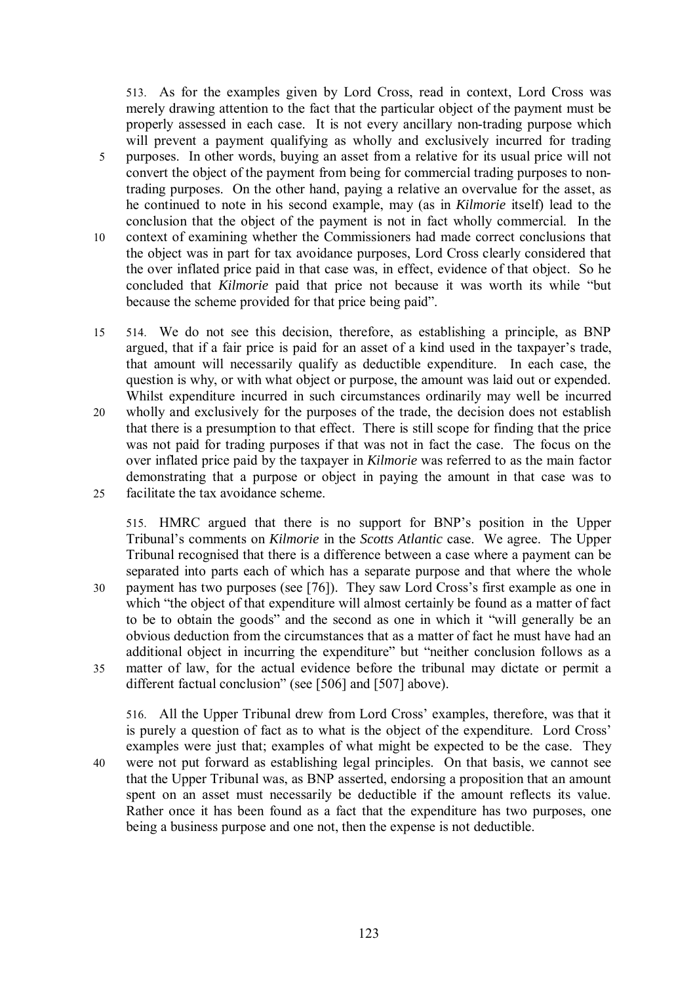513. As for the examples given by Lord Cross, read in context, Lord Cross was merely drawing attention to the fact that the particular object of the payment must be properly assessed in each case. It is not every ancillary non-trading purpose which will prevent a payment qualifying as wholly and exclusively incurred for trading 5 purposes. In other words, buying an asset from a relative for its usual price will not convert the object of the payment from being for commercial trading purposes to nontrading purposes. On the other hand, paying a relative an overvalue for the asset, as he continued to note in his second example, may (as in *Kilmorie* itself) lead to the conclusion that the object of the payment is not in fact wholly commercial. In the 10 context of examining whether the Commissioners had made correct conclusions that the object was in part for tax avoidance purposes, Lord Cross clearly considered that the over inflated price paid in that case was, in effect, evidence of that object. So he concluded that *Kilmorie* paid that price not because it was worth its while "but because the scheme provided for that price being paid".

15 514. We do not see this decision, therefore, as establishing a principle, as BNP argued, that if a fair price is paid for an asset of a kind used in the taxpayer's trade, that amount will necessarily qualify as deductible expenditure. In each case, the question is why, or with what object or purpose, the amount was laid out or expended. Whilst expenditure incurred in such circumstances ordinarily may well be incurred 20 wholly and exclusively for the purposes of the trade, the decision does not establish that there is a presumption to that effect. There is still scope for finding that the price

was not paid for trading purposes if that was not in fact the case. The focus on the over inflated price paid by the taxpayer in *Kilmorie* was referred to as the main factor demonstrating that a purpose or object in paying the amount in that case was to 25 facilitate the tax avoidance scheme.

515. HMRC argued that there is no support for BNP's position in the Upper Tribunal's comments on *Kilmorie* in the *Scotts Atlantic* case. We agree. The Upper Tribunal recognised that there is a difference between a case where a payment can be separated into parts each of which has a separate purpose and that where the whole 30 payment has two purposes (see [76]). They saw Lord Cross's first example as one in which "the object of that expenditure will almost certainly be found as a matter of fact to be to obtain the goods" and the second as one in which it "will generally be an obvious deduction from the circumstances that as a matter of fact he must have had an additional object in incurring the expenditure" but "neither conclusion follows as a 35 matter of law, for the actual evidence before the tribunal may dictate or permit a different factual conclusion" (see [506] and [507] above).

516. All the Upper Tribunal drew from Lord Cross' examples, therefore, was that it is purely a question of fact as to what is the object of the expenditure. Lord Cross' examples were just that; examples of what might be expected to be the case. They 40 were not put forward as establishing legal principles. On that basis, we cannot see that the Upper Tribunal was, as BNP asserted, endorsing a proposition that an amount spent on an asset must necessarily be deductible if the amount reflects its value. Rather once it has been found as a fact that the expenditure has two purposes, one being a business purpose and one not, then the expense is not deductible.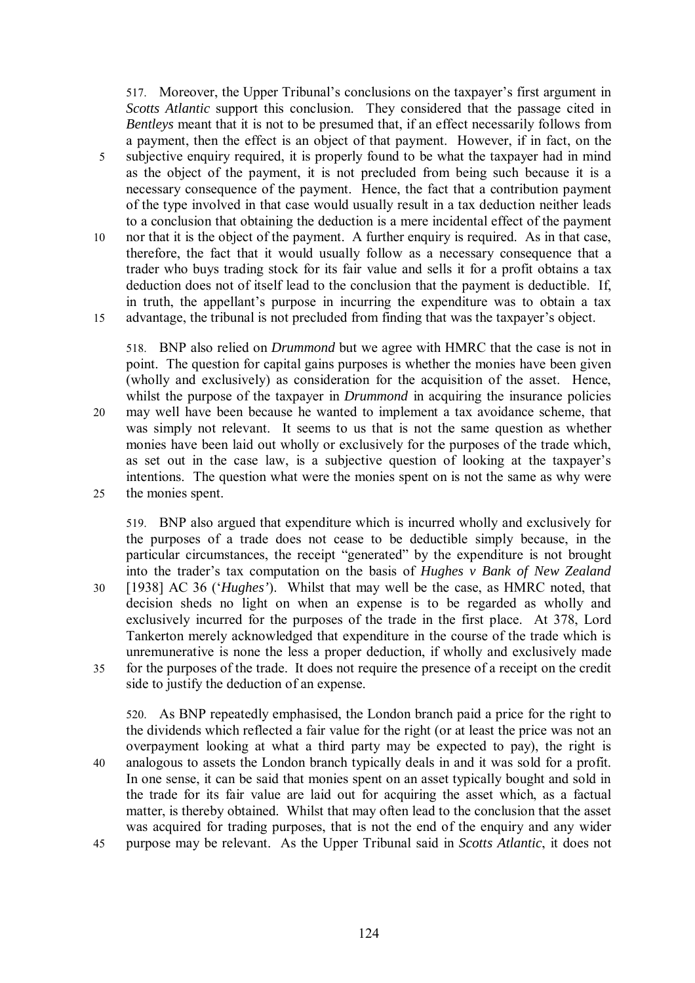517. Moreover, the Upper Tribunal's conclusions on the taxpayer's first argument in *Scotts Atlantic* support this conclusion. They considered that the passage cited in *Bentleys* meant that it is not to be presumed that, if an effect necessarily follows from a payment, then the effect is an object of that payment. However, if in fact, on the 5 subjective enquiry required, it is properly found to be what the taxpayer had in mind as the object of the payment, it is not precluded from being such because it is a necessary consequence of the payment. Hence, the fact that a contribution payment of the type involved in that case would usually result in a tax deduction neither leads to a conclusion that obtaining the deduction is a mere incidental effect of the payment 10 nor that it is the object of the payment. A further enquiry is required. As in that case, therefore, the fact that it would usually follow as a necessary consequence that a trader who buys trading stock for its fair value and sells it for a profit obtains a tax deduction does not of itself lead to the conclusion that the payment is deductible. If, in truth, the appellant's purpose in incurring the expenditure was to obtain a tax 15 advantage, the tribunal is not precluded from finding that was the taxpayer's object.

518. BNP also relied on *Drummond* but we agree with HMRC that the case is not in point. The question for capital gains purposes is whether the monies have been given (wholly and exclusively) as consideration for the acquisition of the asset. Hence, whilst the purpose of the taxpayer in *Drummond* in acquiring the insurance policies 20 may well have been because he wanted to implement a tax avoidance scheme, that was simply not relevant. It seems to us that is not the same question as whether monies have been laid out wholly or exclusively for the purposes of the trade which, as set out in the case law, is a subjective question of looking at the taxpayer's intentions. The question what were the monies spent on is not the same as why were 25 the monies spent.

519. BNP also argued that expenditure which is incurred wholly and exclusively for the purposes of a trade does not cease to be deductible simply because, in the particular circumstances, the receipt "generated" by the expenditure is not brought into the trader's tax computation on the basis of *Hughes v Bank of New Zealand* 30 [1938] AC 36 ('*Hughes'*). Whilst that may well be the case, as HMRC noted, that decision sheds no light on when an expense is to be regarded as wholly and exclusively incurred for the purposes of the trade in the first place. At 378, Lord Tankerton merely acknowledged that expenditure in the course of the trade which is unremunerative is none the less a proper deduction, if wholly and exclusively made 35 for the purposes of the trade. It does not require the presence of a receipt on the credit side to justify the deduction of an expense.

520. As BNP repeatedly emphasised, the London branch paid a price for the right to the dividends which reflected a fair value for the right (or at least the price was not an overpayment looking at what a third party may be expected to pay), the right is 40 analogous to assets the London branch typically deals in and it was sold for a profit. In one sense, it can be said that monies spent on an asset typically bought and sold in the trade for its fair value are laid out for acquiring the asset which, as a factual matter, is thereby obtained. Whilst that may often lead to the conclusion that the asset was acquired for trading purposes, that is not the end of the enquiry and any wider 45 purpose may be relevant. As the Upper Tribunal said in *Scotts Atlantic*, it does not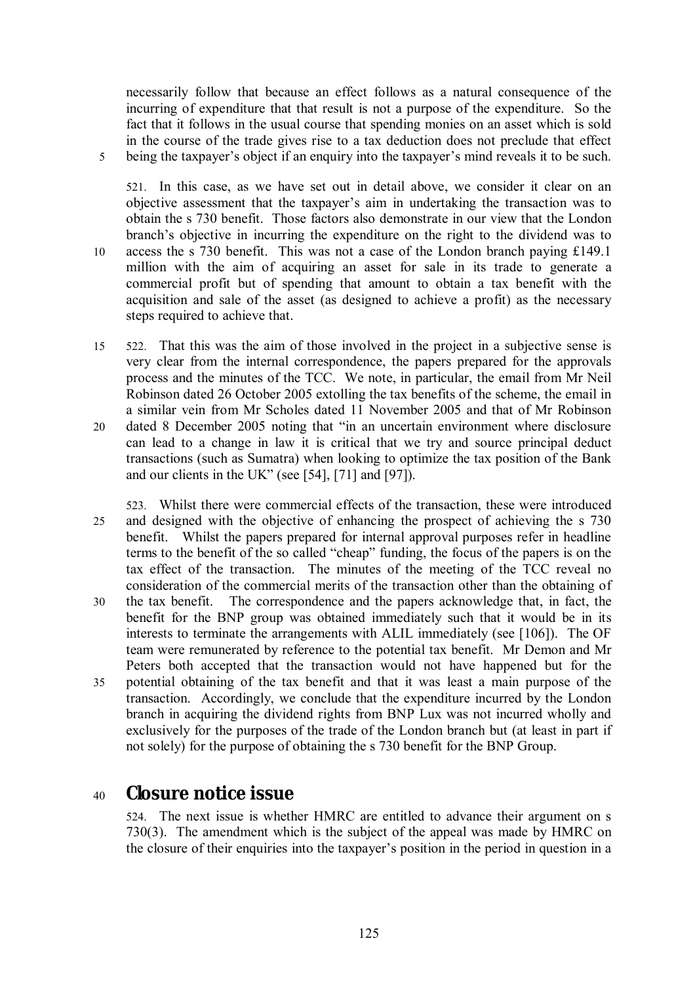necessarily follow that because an effect follows as a natural consequence of the incurring of expenditure that that result is not a purpose of the expenditure. So the fact that it follows in the usual course that spending monies on an asset which is sold in the course of the trade gives rise to a tax deduction does not preclude that effect 5 being the taxpayer's object if an enquiry into the taxpayer's mind reveals it to be such.

521. In this case, as we have set out in detail above, we consider it clear on an objective assessment that the taxpayer's aim in undertaking the transaction was to obtain the s 730 benefit. Those factors also demonstrate in our view that the London branch's objective in incurring the expenditure on the right to the dividend was to 10 access the s 730 benefit. This was not a case of the London branch paying £149.1 million with the aim of acquiring an asset for sale in its trade to generate a commercial profit but of spending that amount to obtain a tax benefit with the acquisition and sale of the asset (as designed to achieve a profit) as the necessary steps required to achieve that.

- 15 522. That this was the aim of those involved in the project in a subjective sense is very clear from the internal correspondence, the papers prepared for the approvals process and the minutes of the TCC. We note, in particular, the email from Mr Neil Robinson dated 26 October 2005 extolling the tax benefits of the scheme, the email in a similar vein from Mr Scholes dated 11 November 2005 and that of Mr Robinson
- 20 dated 8 December 2005 noting that "in an uncertain environment where disclosure can lead to a change in law it is critical that we try and source principal deduct transactions (such as Sumatra) when looking to optimize the tax position of the Bank and our clients in the UK" (see [54], [71] and [97]).
- 523. Whilst there were commercial effects of the transaction, these were introduced 25 and designed with the objective of enhancing the prospect of achieving the s 730 benefit. Whilst the papers prepared for internal approval purposes refer in headline terms to the benefit of the so called "cheap" funding, the focus of the papers is on the tax effect of the transaction. The minutes of the meeting of the TCC reveal no consideration of the commercial merits of the transaction other than the obtaining of
- 30 the tax benefit. The correspondence and the papers acknowledge that, in fact, the benefit for the BNP group was obtained immediately such that it would be in its interests to terminate the arrangements with ALIL immediately (see [106]). The OF team were remunerated by reference to the potential tax benefit. Mr Demon and Mr Peters both accepted that the transaction would not have happened but for the
- 35 potential obtaining of the tax benefit and that it was least a main purpose of the transaction. Accordingly, we conclude that the expenditure incurred by the London branch in acquiring the dividend rights from BNP Lux was not incurred wholly and exclusively for the purposes of the trade of the London branch but (at least in part if not solely) for the purpose of obtaining the s 730 benefit for the BNP Group.

# <sup>40</sup> **Closure notice issue**

524. The next issue is whether HMRC are entitled to advance their argument on s 730(3). The amendment which is the subject of the appeal was made by HMRC on the closure of their enquiries into the taxpayer's position in the period in question in a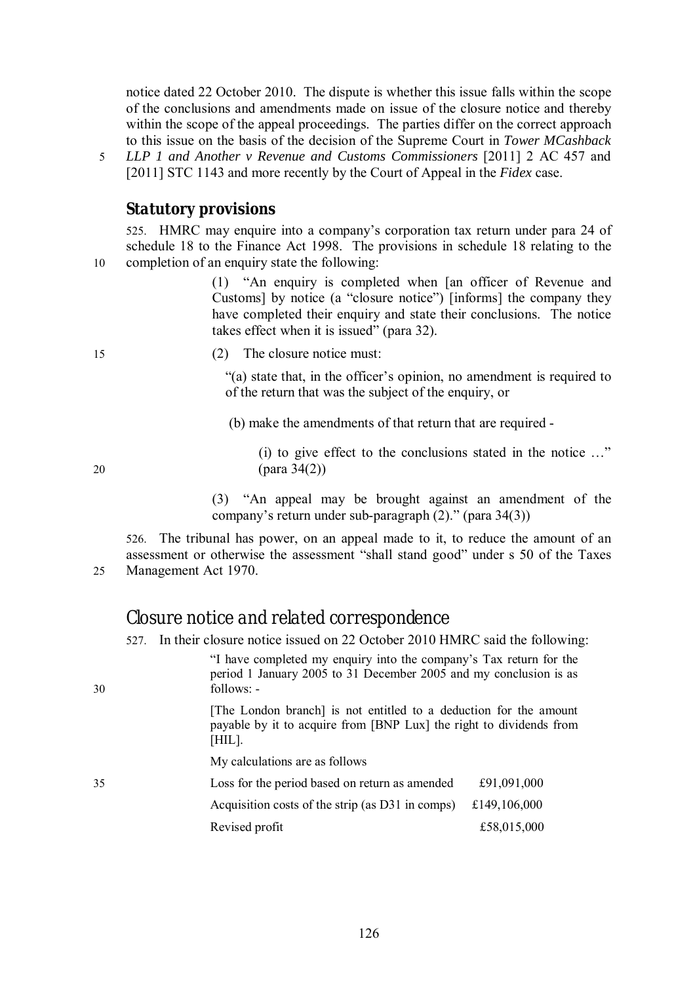notice dated 22 October 2010. The dispute is whether this issue falls within the scope of the conclusions and amendments made on issue of the closure notice and thereby within the scope of the appeal proceedings. The parties differ on the correct approach to this issue on the basis of the decision of the Supreme Court in *Tower MCashback*

5 *LLP 1 and Another v Revenue and Customs Commissioners* [2011] 2 AC 457 and [2011] STC 1143 and more recently by the Court of Appeal in the *Fidex* case.

### *Statutory provisions*

525. HMRC may enquire into a company's corporation tax return under para 24 of schedule 18 to the Finance Act 1998. The provisions in schedule 18 relating to the 10 completion of an enquiry state the following:

> (1) "An enquiry is completed when [an officer of Revenue and Customs] by notice (a "closure notice") [informs] the company they have completed their enquiry and state their conclusions. The notice takes effect when it is issued" (para 32).

15 (2) The closure notice must:

"(a) state that, in the officer's opinion, no amendment is required to of the return that was the subject of the enquiry, or

(b) make the amendments of that return that are required -

(i) to give effect to the conclusions stated in the notice …" 20 (para 34(2))

> (3) "An appeal may be brought against an amendment of the company's return under sub-paragraph (2)." (para 34(3))

526. The tribunal has power, on an appeal made to it, to reduce the amount of an assessment or otherwise the assessment "shall stand good" under s 50 of the Taxes 25 Management Act 1970.

## *Closure notice and related correspondence*

527. In their closure notice issued on 22 October 2010 HMRC said the following:

| 30                                               | "I have completed my enquiry into the company's Tax return for the<br>period 1 January 2005 to 31 December 2005 and my conclusion is as<br>follows: -<br>[The London branch] is not entitled to a deduction for the amount<br>payable by it to acquire from [BNP Lux] the right to dividends from<br>[HIL]. |                                                |
|--------------------------------------------------|-------------------------------------------------------------------------------------------------------------------------------------------------------------------------------------------------------------------------------------------------------------------------------------------------------------|------------------------------------------------|
|                                                  |                                                                                                                                                                                                                                                                                                             |                                                |
|                                                  | 35                                                                                                                                                                                                                                                                                                          | Loss for the period based on return as amended |
| Acquisition costs of the strip (as D31 in comps) |                                                                                                                                                                                                                                                                                                             | £149,106,000                                   |
| Revised profit                                   |                                                                                                                                                                                                                                                                                                             | £58,015,000                                    |
|                                                  |                                                                                                                                                                                                                                                                                                             |                                                |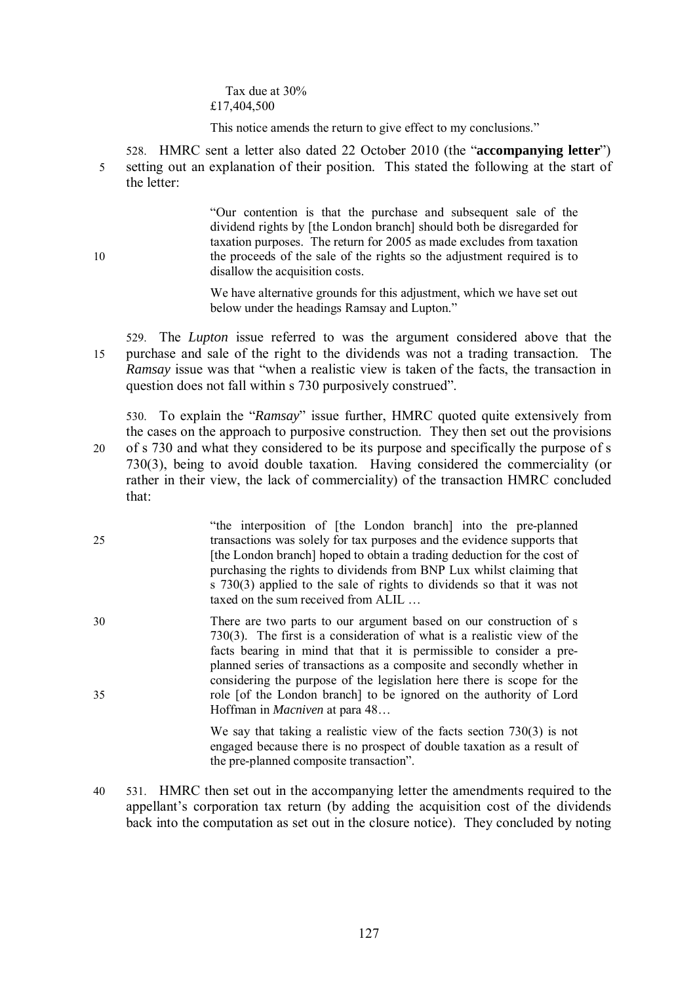Tax due at 30% £17,404,500

This notice amends the return to give effect to my conclusions."

528. HMRC sent a letter also dated 22 October 2010 (the "**accompanying letter**") 5 setting out an explanation of their position. This stated the following at the start of the letter:

"Our contention is that the purchase and subsequent sale of the dividend rights by [the London branch] should both be disregarded for taxation purposes. The return for 2005 as made excludes from taxation 10 the proceeds of the sale of the rights so the adjustment required is to disallow the acquisition costs.

> We have alternative grounds for this adjustment, which we have set out below under the headings Ramsay and Lupton."

529. The *Lupton* issue referred to was the argument considered above that the 15 purchase and sale of the right to the dividends was not a trading transaction. The *Ramsay* issue was that "when a realistic view is taken of the facts, the transaction in question does not fall within s 730 purposively construed".

530. To explain the "*Ramsay*" issue further, HMRC quoted quite extensively from the cases on the approach to purposive construction. They then set out the provisions 20 of s 730 and what they considered to be its purpose and specifically the purpose of s 730(3), being to avoid double taxation. Having considered the commerciality (or rather in their view, the lack of commerciality) of the transaction HMRC concluded that:

"the interposition of [the London branch] into the pre-planned 25 transactions was solely for tax purposes and the evidence supports that [the London branch] hoped to obtain a trading deduction for the cost of purchasing the rights to dividends from BNP Lux whilst claiming that s 730(3) applied to the sale of rights to dividends so that it was not taxed on the sum received from ALIL …

30 There are two parts to our argument based on our construction of s 730(3). The first is a consideration of what is a realistic view of the facts bearing in mind that that it is permissible to consider a preplanned series of transactions as a composite and secondly whether in considering the purpose of the legislation here there is scope for the 35 role [of the London branch] to be ignored on the authority of Lord Hoffman in *Macniven* at para 48…

> We say that taking a realistic view of the facts section 730(3) is not engaged because there is no prospect of double taxation as a result of the pre-planned composite transaction".

40 531. HMRC then set out in the accompanying letter the amendments required to the appellant's corporation tax return (by adding the acquisition cost of the dividends back into the computation as set out in the closure notice). They concluded by noting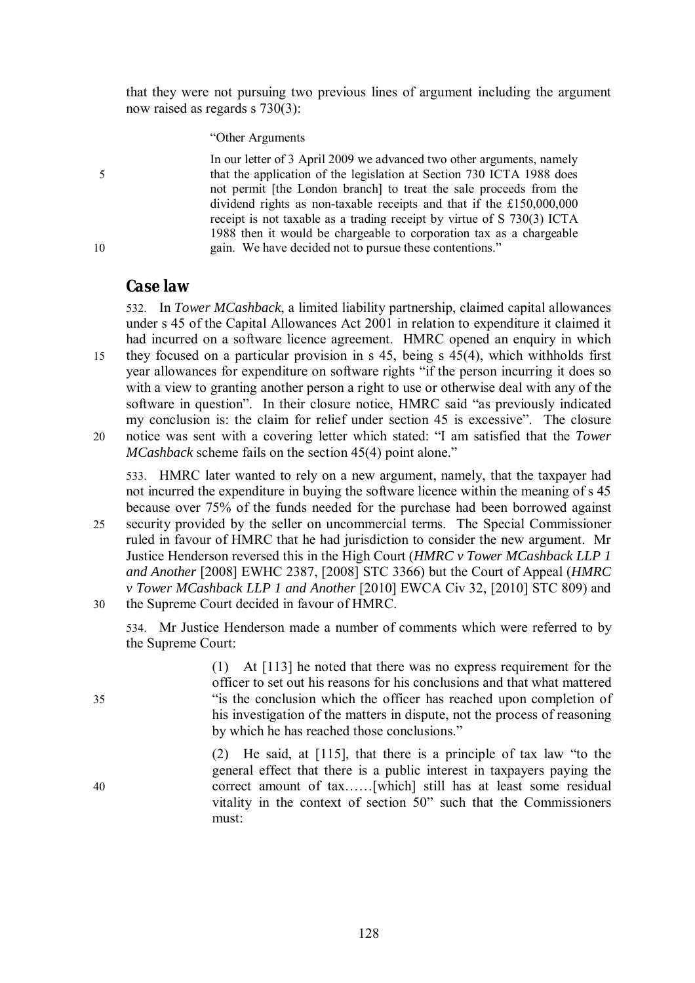that they were not pursuing two previous lines of argument including the argument now raised as regards s 730(3):

#### "Other Arguments

In our letter of 3 April 2009 we advanced two other arguments, namely 5 that the application of the legislation at Section 730 ICTA 1988 does not permit [the London branch] to treat the sale proceeds from the dividend rights as non-taxable receipts and that if the £150,000,000 receipt is not taxable as a trading receipt by virtue of S 730(3) ICTA 1988 then it would be chargeable to corporation tax as a chargeable 10 gain. We have decided not to pursue these contentions."

#### *Case law*

532. In *Tower MCashback*, a limited liability partnership, claimed capital allowances under s 45 of the Capital Allowances Act 2001 in relation to expenditure it claimed it had incurred on a software licence agreement. HMRC opened an enquiry in which 15 they focused on a particular provision in s 45, being s 45(4), which withholds first year allowances for expenditure on software rights "if the person incurring it does so with a view to granting another person a right to use or otherwise deal with any of the software in question". In their closure notice, HMRC said "as previously indicated my conclusion is: the claim for relief under section 45 is excessive". The closure

533. HMRC later wanted to rely on a new argument, namely, that the taxpayer had not incurred the expenditure in buying the software licence within the meaning of s 45 because over 75% of the funds needed for the purchase had been borrowed against

25 security provided by the seller on uncommercial terms. The Special Commissioner ruled in favour of HMRC that he had jurisdiction to consider the new argument. Mr Justice Henderson reversed this in the High Court (*HMRC v Tower MCashback LLP 1 and Another* [2008] EWHC 2387, [2008] STC 3366) but the Court of Appeal (*HMRC v Tower MCashback LLP 1 and Another* [2010] EWCA Civ 32, [2010] STC 809) and 30 the Supreme Court decided in favour of HMRC.

534. Mr Justice Henderson made a number of comments which were referred to by the Supreme Court:

(1) At [113] he noted that there was no express requirement for the officer to set out his reasons for his conclusions and that what mattered 35 "is the conclusion which the officer has reached upon completion of his investigation of the matters in dispute, not the process of reasoning by which he has reached those conclusions."

(2) He said, at [115], that there is a principle of tax law "to the general effect that there is a public interest in taxpayers paying the 40 correct amount of tax……[which] still has at least some residual vitality in the context of section 50" such that the Commissioners must:

<sup>20</sup> notice was sent with a covering letter which stated: "I am satisfied that the *Tower MCashback* scheme fails on the section 45(4) point alone."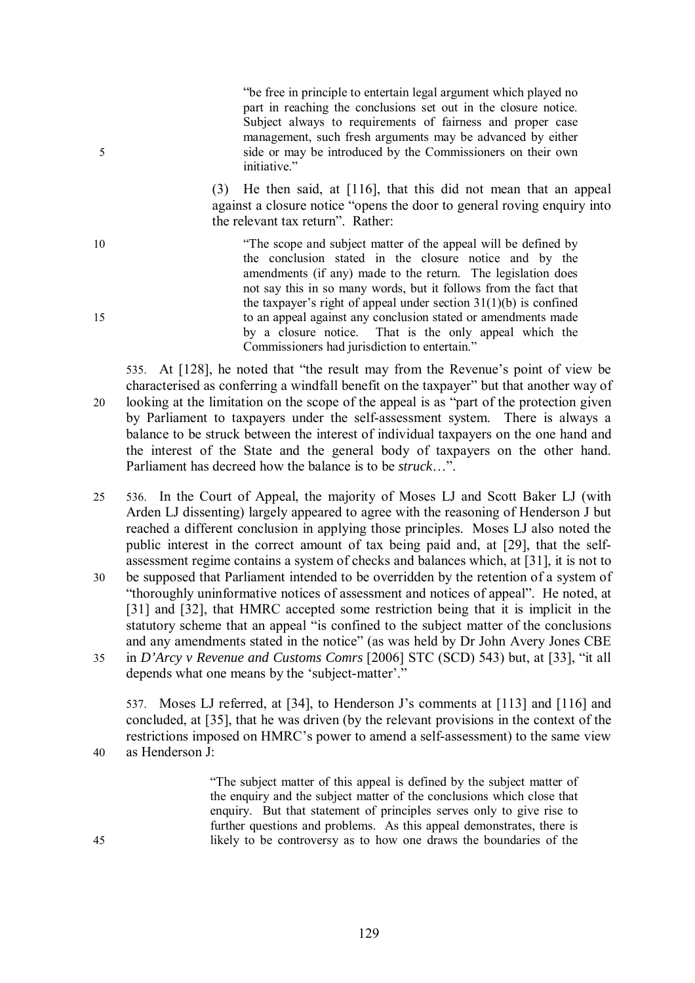"be free in principle to entertain legal argument which played no part in reaching the conclusions set out in the closure notice. Subject always to requirements of fairness and proper case management, such fresh arguments may be advanced by either 5 side or may be introduced by the Commissioners on their own initiative."

> (3) He then said, at [116], that this did not mean that an appeal against a closure notice "opens the door to general roving enquiry into the relevant tax return". Rather:

10 "The scope and subject matter of the appeal will be defined by the conclusion stated in the closure notice and by the amendments (if any) made to the return. The legislation does not say this in so many words, but it follows from the fact that the taxpayer's right of appeal under section  $31(1)(b)$  is confined 15 to an appeal against any conclusion stated or amendments made by a closure notice. That is the only appeal which the Commissioners had jurisdiction to entertain."

535. At [128], he noted that "the result may from the Revenue's point of view be characterised as conferring a windfall benefit on the taxpayer" but that another way of 20 looking at the limitation on the scope of the appeal is as "part of the protection given by Parliament to taxpayers under the self-assessment system. There is always a balance to be struck between the interest of individual taxpayers on the one hand and the interest of the State and the general body of taxpayers on the other hand. Parliament has decreed how the balance is to be *struck*…".

25 536. In the Court of Appeal, the majority of Moses LJ and Scott Baker LJ (with Arden LJ dissenting) largely appeared to agree with the reasoning of Henderson J but reached a different conclusion in applying those principles. Moses LJ also noted the public interest in the correct amount of tax being paid and, at [29], that the selfassessment regime contains a system of checks and balances which, at [31], it is not to 30 be supposed that Parliament intended to be overridden by the retention of a system of "thoroughly uninformative notices of assessment and notices of appeal". He noted, at [31] and [32], that HMRC accepted some restriction being that it is implicit in the statutory scheme that an appeal "is confined to the subject matter of the conclusions and any amendments stated in the notice" (as was held by Dr John Avery Jones CBE 35 in *D'Arcy v Revenue and Customs Comrs* [2006] STC (SCD) 543) but, at [33], "it all depends what one means by the 'subject-matter'."

537. Moses LJ referred, at [34], to Henderson J's comments at [113] and [116] and concluded, at [35], that he was driven (by the relevant provisions in the context of the restrictions imposed on HMRC's power to amend a self-assessment) to the same view 40 as Henderson J:

"The subject matter of this appeal is defined by the subject matter of the enquiry and the subject matter of the conclusions which close that enquiry. But that statement of principles serves only to give rise to further questions and problems. As this appeal demonstrates, there is 45 likely to be controversy as to how one draws the boundaries of the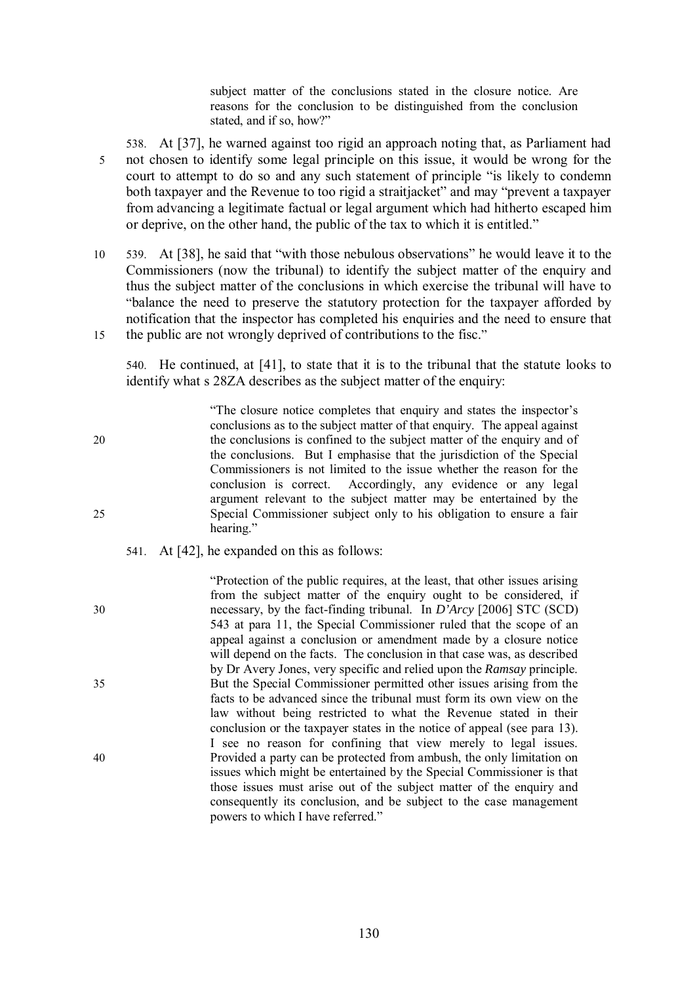subject matter of the conclusions stated in the closure notice. Are reasons for the conclusion to be distinguished from the conclusion stated, and if so, how?"

538. At [37], he warned against too rigid an approach noting that, as Parliament had 5 not chosen to identify some legal principle on this issue, it would be wrong for the court to attempt to do so and any such statement of principle "is likely to condemn both taxpayer and the Revenue to too rigid a straitjacket" and may "prevent a taxpayer from advancing a legitimate factual or legal argument which had hitherto escaped him or deprive, on the other hand, the public of the tax to which it is entitled."

10 539. At [38], he said that "with those nebulous observations" he would leave it to the Commissioners (now the tribunal) to identify the subject matter of the enquiry and thus the subject matter of the conclusions in which exercise the tribunal will have to "balance the need to preserve the statutory protection for the taxpayer afforded by notification that the inspector has completed his enquiries and the need to ensure that 15 the public are not wrongly deprived of contributions to the fisc."

540. He continued, at [41], to state that it is to the tribunal that the statute looks to identify what s 28ZA describes as the subject matter of the enquiry:

"The closure notice completes that enquiry and states the inspector's conclusions as to the subject matter of that enquiry. The appeal against 20 the conclusions is confined to the subject matter of the enquiry and of the conclusions. But I emphasise that the jurisdiction of the Special Commissioners is not limited to the issue whether the reason for the conclusion is correct. Accordingly, any evidence or any legal argument relevant to the subject matter may be entertained by the 25 Special Commissioner subject only to his obligation to ensure a fair hearing."

- 541. At [42], he expanded on this as follows:
- "Protection of the public requires, at the least, that other issues arising from the subject matter of the enquiry ought to be considered, if 30 necessary, by the fact-finding tribunal. In *D'Arcy* [2006] STC (SCD) 543 at para 11, the Special Commissioner ruled that the scope of an appeal against a conclusion or amendment made by a closure notice will depend on the facts. The conclusion in that case was, as described by Dr Avery Jones, very specific and relied upon the *Ramsay* principle. 35 But the Special Commissioner permitted other issues arising from the facts to be advanced since the tribunal must form its own view on the law without being restricted to what the Revenue stated in their conclusion or the taxpayer states in the notice of appeal (see para 13). I see no reason for confining that view merely to legal issues. 40 Provided a party can be protected from ambush, the only limitation on issues which might be entertained by the Special Commissioner is that those issues must arise out of the subject matter of the enquiry and consequently its conclusion, and be subject to the case management powers to which I have referred."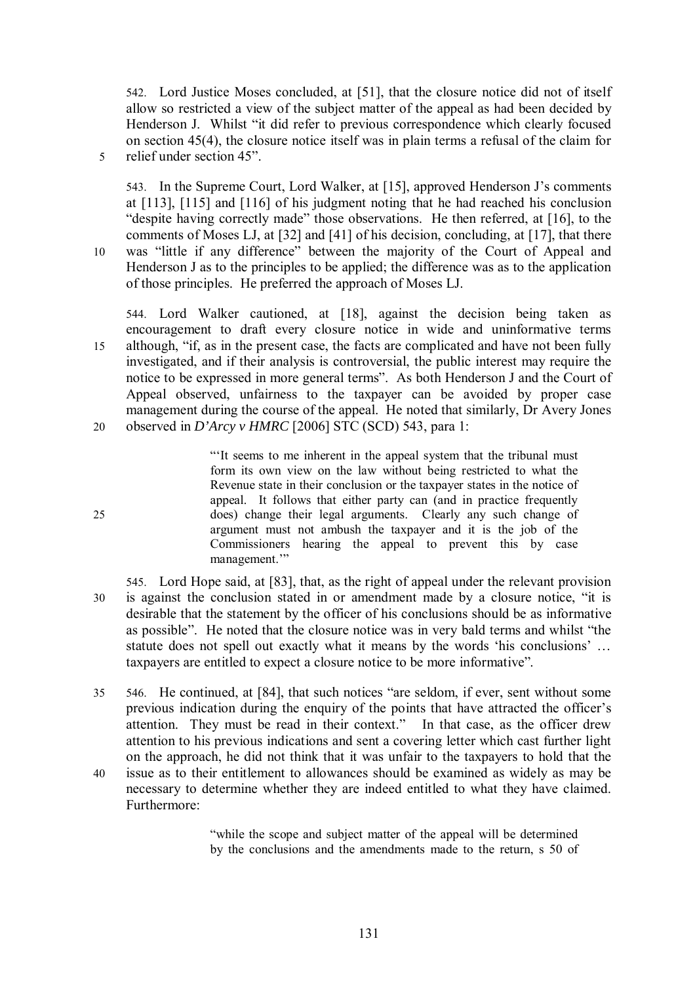542. Lord Justice Moses concluded, at [51], that the closure notice did not of itself allow so restricted a view of the subject matter of the appeal as had been decided by Henderson J. Whilst "it did refer to previous correspondence which clearly focused on section 45(4), the closure notice itself was in plain terms a refusal of the claim for 5 relief under section 45".

543. In the Supreme Court, Lord Walker, at [15], approved Henderson J's comments at [113], [115] and [116] of his judgment noting that he had reached his conclusion "despite having correctly made" those observations. He then referred, at [16], to the comments of Moses LJ, at [32] and [41] of his decision, concluding, at [17], that there 10 was "little if any difference" between the majority of the Court of Appeal and Henderson J as to the principles to be applied; the difference was as to the application of those principles. He preferred the approach of Moses LJ.

544. Lord Walker cautioned, at [18], against the decision being taken as encouragement to draft every closure notice in wide and uninformative terms 15 although, "if, as in the present case, the facts are complicated and have not been fully investigated, and if their analysis is controversial, the public interest may require the notice to be expressed in more general terms". As both Henderson J and the Court of Appeal observed, unfairness to the taxpayer can be avoided by proper case management during the course of the appeal. He noted that similarly, Dr Avery Jones 20 observed in *D'Arcy v HMRC* [2006] STC (SCD) 543, para 1:

"'It seems to me inherent in the appeal system that the tribunal must form its own view on the law without being restricted to what the Revenue state in their conclusion or the taxpayer states in the notice of appeal. It follows that either party can (and in practice frequently 25 does) change their legal arguments. Clearly any such change of argument must not ambush the taxpayer and it is the job of the Commissioners hearing the appeal to prevent this by case management.'"

- 545. Lord Hope said, at [83], that, as the right of appeal under the relevant provision 30 is against the conclusion stated in or amendment made by a closure notice, "it is desirable that the statement by the officer of his conclusions should be as informative as possible". He noted that the closure notice was in very bald terms and whilst "the statute does not spell out exactly what it means by the words 'his conclusions' … taxpayers are entitled to expect a closure notice to be more informative".
- 35 546. He continued, at [84], that such notices "are seldom, if ever, sent without some previous indication during the enquiry of the points that have attracted the officer's attention. They must be read in their context." In that case, as the officer drew attention to his previous indications and sent a covering letter which cast further light on the approach, he did not think that it was unfair to the taxpayers to hold that the
- 40 issue as to their entitlement to allowances should be examined as widely as may be necessary to determine whether they are indeed entitled to what they have claimed. Furthermore:

"while the scope and subject matter of the appeal will be determined by the conclusions and the amendments made to the return, s 50 of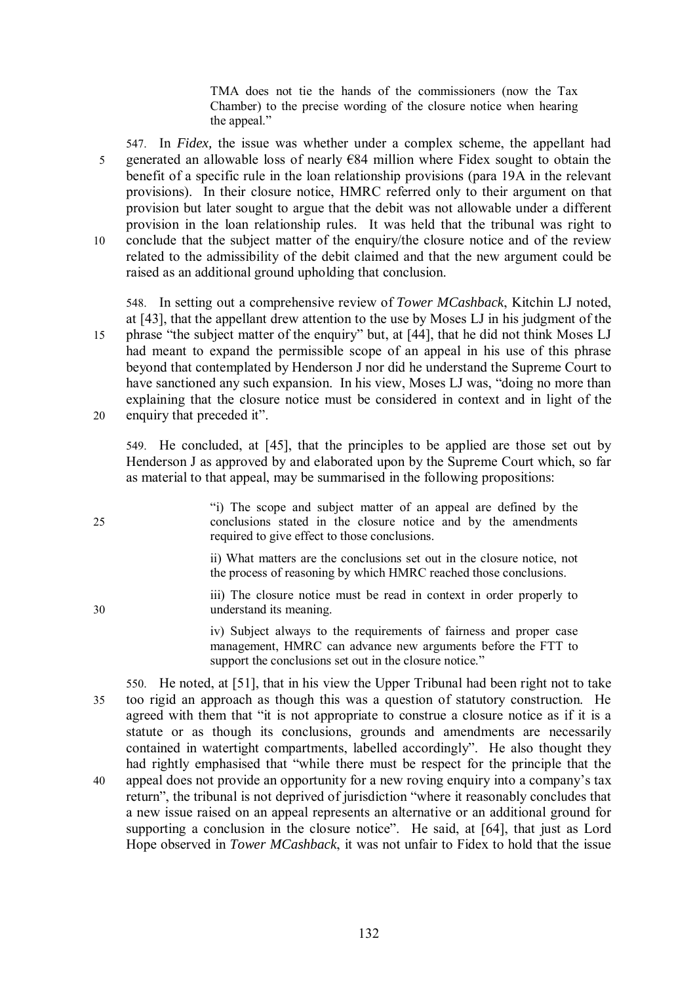TMA does not tie the hands of the commissioners (now the Tax Chamber) to the precise wording of the closure notice when hearing the appeal."

547. In *Fidex,* the issue was whether under a complex scheme, the appellant had 5 generated an allowable loss of nearly  $\epsilon$ 84 million where Fidex sought to obtain the benefit of a specific rule in the loan relationship provisions (para 19A in the relevant provisions). In their closure notice, HMRC referred only to their argument on that provision but later sought to argue that the debit was not allowable under a different provision in the loan relationship rules. It was held that the tribunal was right to 10 conclude that the subject matter of the enquiry/the closure notice and of the review related to the admissibility of the debit claimed and that the new argument could be raised as an additional ground upholding that conclusion.

548. In setting out a comprehensive review of *Tower MCashback*, Kitchin LJ noted, at [43], that the appellant drew attention to the use by Moses LJ in his judgment of the 15 phrase "the subject matter of the enquiry" but, at [44], that he did not think Moses LJ had meant to expand the permissible scope of an appeal in his use of this phrase beyond that contemplated by Henderson J nor did he understand the Supreme Court to have sanctioned any such expansion. In his view, Moses LJ was, "doing no more than explaining that the closure notice must be considered in context and in light of the 20 enquiry that preceded it".

549. He concluded, at [45], that the principles to be applied are those set out by Henderson J as approved by and elaborated upon by the Supreme Court which, so far as material to that appeal, may be summarised in the following propositions:

"i) The scope and subject matter of an appeal are defined by the 25 conclusions stated in the closure notice and by the amendments required to give effect to those conclusions. ii) What matters are the conclusions set out in the closure notice, not the process of reasoning by which HMRC reached those conclusions. iii) The closure notice must be read in context in order properly to 30 understand its meaning. iv) Subject always to the requirements of fairness and proper case management, HMRC can advance new arguments before the FTT to support the conclusions set out in the closure notice." 550. He noted, at [51], that in his view the Upper Tribunal had been right not to take 35 too rigid an approach as though this was a question of statutory construction. He agreed with them that "it is not appropriate to construe a closure notice as if it is a statute or as though its conclusions, grounds and amendments are necessarily contained in watertight compartments, labelled accordingly". He also thought they

had rightly emphasised that "while there must be respect for the principle that the 40 appeal does not provide an opportunity for a new roving enquiry into a company's tax return", the tribunal is not deprived of jurisdiction "where it reasonably concludes that a new issue raised on an appeal represents an alternative or an additional ground for supporting a conclusion in the closure notice". He said, at [64], that just as Lord Hope observed in *Tower MCashback*, it was not unfair to Fidex to hold that the issue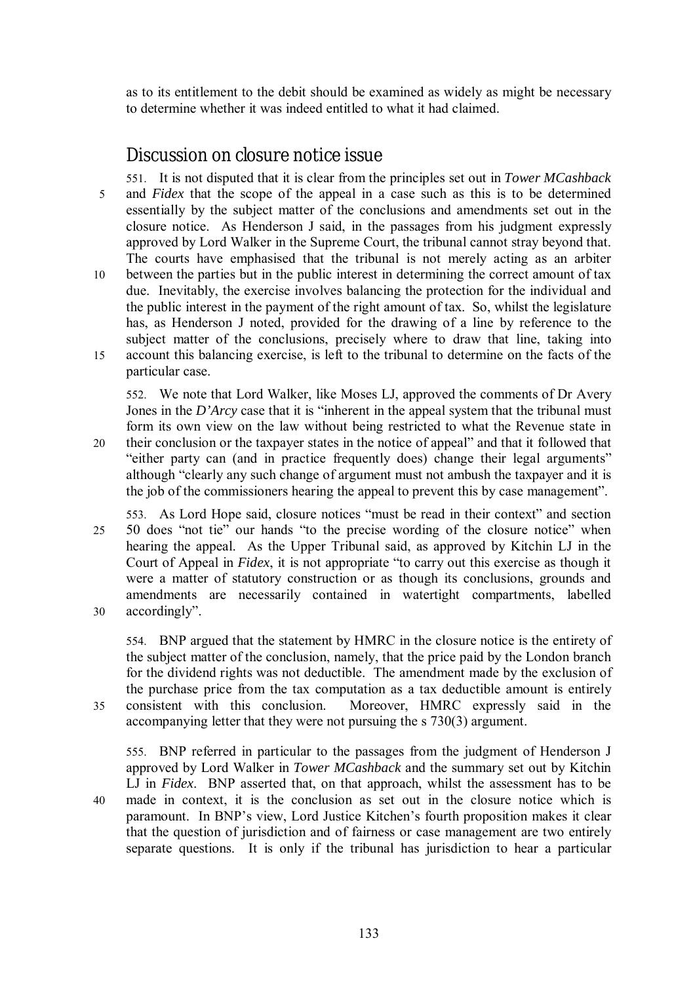as to its entitlement to the debit should be examined as widely as might be necessary to determine whether it was indeed entitled to what it had claimed.

# *Discussion on closure notice issue*

551. It is not disputed that it is clear from the principles set out in *Tower MCashback* 5 and *Fidex* that the scope of the appeal in a case such as this is to be determined essentially by the subject matter of the conclusions and amendments set out in the closure notice. As Henderson J said, in the passages from his judgment expressly approved by Lord Walker in the Supreme Court, the tribunal cannot stray beyond that. The courts have emphasised that the tribunal is not merely acting as an arbiter 10 between the parties but in the public interest in determining the correct amount of tax due. Inevitably, the exercise involves balancing the protection for the individual and the public interest in the payment of the right amount of tax. So, whilst the legislature has, as Henderson J noted, provided for the drawing of a line by reference to the subject matter of the conclusions, precisely where to draw that line, taking into 15 account this balancing exercise, is left to the tribunal to determine on the facts of the particular case.

552. We note that Lord Walker, like Moses LJ, approved the comments of Dr Avery Jones in the *D'Arcy* case that it is "inherent in the appeal system that the tribunal must form its own view on the law without being restricted to what the Revenue state in

- 20 their conclusion or the taxpayer states in the notice of appeal" and that it followed that "either party can (and in practice frequently does) change their legal arguments" although "clearly any such change of argument must not ambush the taxpayer and it is the job of the commissioners hearing the appeal to prevent this by case management".
- 553. As Lord Hope said, closure notices "must be read in their context" and section 25 50 does "not tie" our hands "to the precise wording of the closure notice" when hearing the appeal. As the Upper Tribunal said, as approved by Kitchin LJ in the Court of Appeal in *Fidex*, it is not appropriate "to carry out this exercise as though it were a matter of statutory construction or as though its conclusions, grounds and amendments are necessarily contained in watertight compartments, labelled 30 accordingly".

554. BNP argued that the statement by HMRC in the closure notice is the entirety of the subject matter of the conclusion, namely, that the price paid by the London branch for the dividend rights was not deductible. The amendment made by the exclusion of the purchase price from the tax computation as a tax deductible amount is entirely 35 consistent with this conclusion. Moreover, HMRC expressly said in the accompanying letter that they were not pursuing the s 730(3) argument.

555. BNP referred in particular to the passages from the judgment of Henderson J approved by Lord Walker in *Tower MCashback* and the summary set out by Kitchin LJ in *Fidex*. BNP asserted that, on that approach, whilst the assessment has to be 40 made in context, it is the conclusion as set out in the closure notice which is paramount. In BNP's view, Lord Justice Kitchen's fourth proposition makes it clear that the question of jurisdiction and of fairness or case management are two entirely separate questions. It is only if the tribunal has jurisdiction to hear a particular

133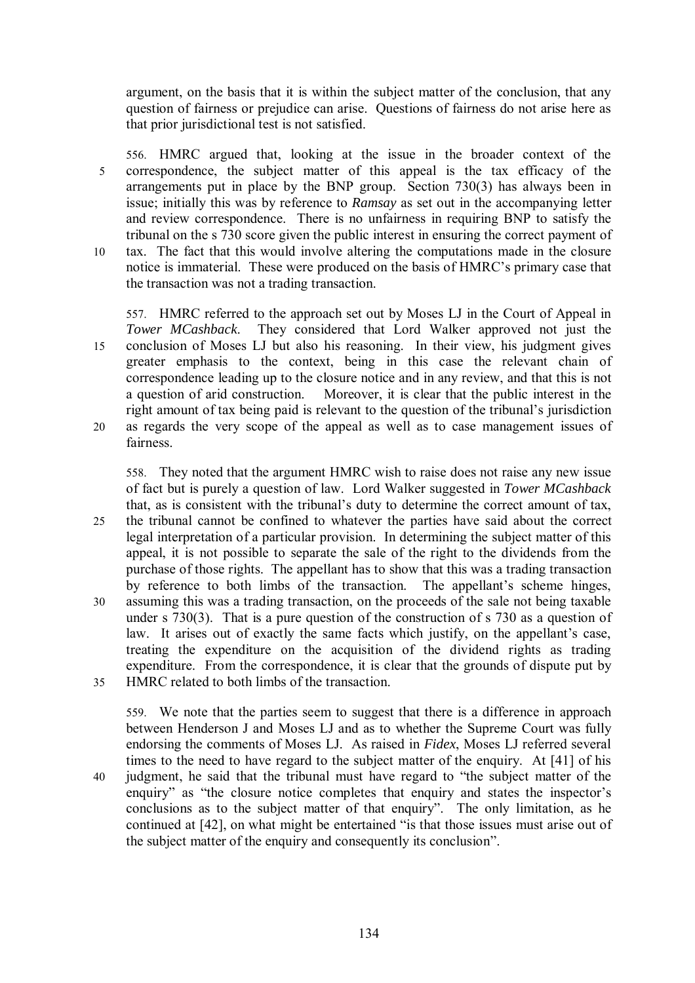argument, on the basis that it is within the subject matter of the conclusion, that any question of fairness or prejudice can arise. Questions of fairness do not arise here as that prior jurisdictional test is not satisfied.

556. HMRC argued that, looking at the issue in the broader context of the 5 correspondence, the subject matter of this appeal is the tax efficacy of the arrangements put in place by the BNP group. Section 730(3) has always been in issue; initially this was by reference to *Ramsay* as set out in the accompanying letter and review correspondence. There is no unfairness in requiring BNP to satisfy the tribunal on the s 730 score given the public interest in ensuring the correct payment of 10 tax. The fact that this would involve altering the computations made in the closure notice is immaterial. These were produced on the basis of HMRC's primary case that

the transaction was not a trading transaction.

557. HMRC referred to the approach set out by Moses LJ in the Court of Appeal in *Tower MCashback*. They considered that Lord Walker approved not just the 15 conclusion of Moses LJ but also his reasoning. In their view, his judgment gives greater emphasis to the context, being in this case the relevant chain of correspondence leading up to the closure notice and in any review, and that this is not a question of arid construction. Moreover, it is clear that the public interest in the right amount of tax being paid is relevant to the question of the tribunal's jurisdiction 20 as regards the very scope of the appeal as well as to case management issues of

fairness.

558. They noted that the argument HMRC wish to raise does not raise any new issue of fact but is purely a question of law. Lord Walker suggested in *Tower MCashback* that, as is consistent with the tribunal's duty to determine the correct amount of tax, 25 the tribunal cannot be confined to whatever the parties have said about the correct legal interpretation of a particular provision. In determining the subject matter of this appeal, it is not possible to separate the sale of the right to the dividends from the purchase of those rights. The appellant has to show that this was a trading transaction by reference to both limbs of the transaction. The appellant's scheme hinges, 30 assuming this was a trading transaction, on the proceeds of the sale not being taxable under s 730(3). That is a pure question of the construction of s 730 as a question of law. It arises out of exactly the same facts which justify, on the appellant's case, treating the expenditure on the acquisition of the dividend rights as trading expenditure. From the correspondence, it is clear that the grounds of dispute put by 35 HMRC related to both limbs of the transaction.

559. We note that the parties seem to suggest that there is a difference in approach between Henderson J and Moses LJ and as to whether the Supreme Court was fully endorsing the comments of Moses LJ. As raised in *Fidex*, Moses LJ referred several times to the need to have regard to the subject matter of the enquiry. At [41] of his 40 judgment, he said that the tribunal must have regard to "the subject matter of the enquiry" as "the closure notice completes that enquiry and states the inspector's conclusions as to the subject matter of that enquiry". The only limitation, as he continued at [42], on what might be entertained "is that those issues must arise out of the subject matter of the enquiry and consequently its conclusion".

134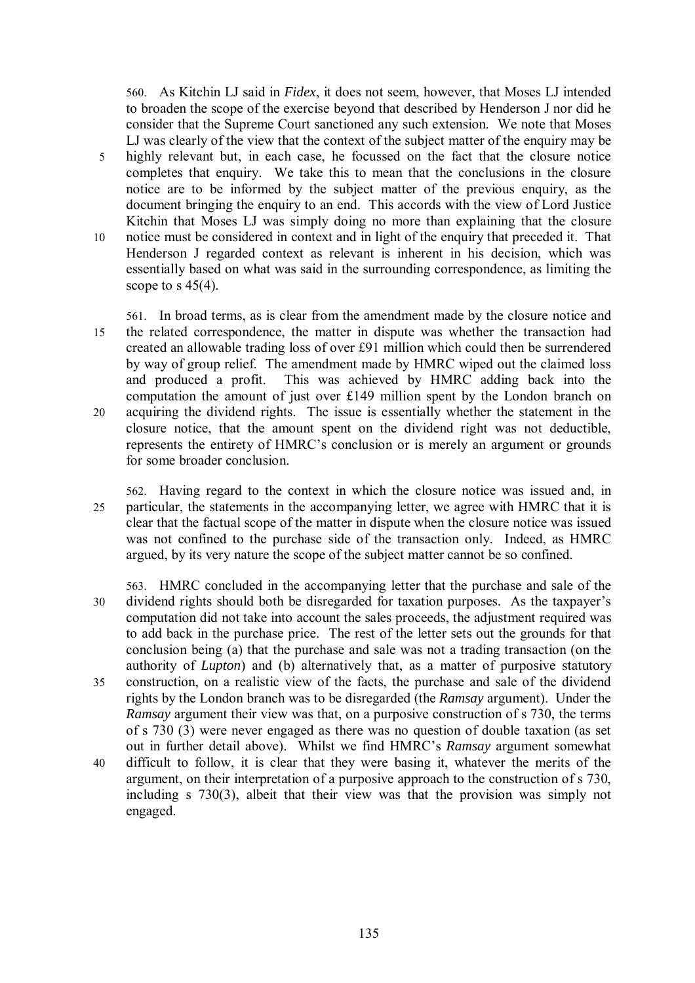560. As Kitchin LJ said in *Fidex*, it does not seem, however, that Moses LJ intended to broaden the scope of the exercise beyond that described by Henderson J nor did he consider that the Supreme Court sanctioned any such extension. We note that Moses LJ was clearly of the view that the context of the subject matter of the enquiry may be 5 highly relevant but, in each case, he focussed on the fact that the closure notice completes that enquiry. We take this to mean that the conclusions in the closure notice are to be informed by the subject matter of the previous enquiry, as the document bringing the enquiry to an end. This accords with the view of Lord Justice Kitchin that Moses LJ was simply doing no more than explaining that the closure 10 notice must be considered in context and in light of the enquiry that preceded it. That Henderson J regarded context as relevant is inherent in his decision, which was essentially based on what was said in the surrounding correspondence, as limiting the scope to s  $45(4)$ .

561. In broad terms, as is clear from the amendment made by the closure notice and 15 the related correspondence, the matter in dispute was whether the transaction had created an allowable trading loss of over £91 million which could then be surrendered by way of group relief. The amendment made by HMRC wiped out the claimed loss and produced a profit. This was achieved by HMRC adding back into the computation the amount of just over £149 million spent by the London branch on 20 acquiring the dividend rights. The issue is essentially whether the statement in the closure notice, that the amount spent on the dividend right was not deductible, represents the entirety of HMRC's conclusion or is merely an argument or grounds for some broader conclusion.

562. Having regard to the context in which the closure notice was issued and, in 25 particular, the statements in the accompanying letter, we agree with HMRC that it is clear that the factual scope of the matter in dispute when the closure notice was issued was not confined to the purchase side of the transaction only. Indeed, as HMRC argued, by its very nature the scope of the subject matter cannot be so confined.

563. HMRC concluded in the accompanying letter that the purchase and sale of the 30 dividend rights should both be disregarded for taxation purposes. As the taxpayer's computation did not take into account the sales proceeds, the adjustment required was to add back in the purchase price. The rest of the letter sets out the grounds for that conclusion being (a) that the purchase and sale was not a trading transaction (on the authority of *Lupton*) and (b) alternatively that, as a matter of purposive statutory 35 construction, on a realistic view of the facts, the purchase and sale of the dividend rights by the London branch was to be disregarded (the *Ramsay* argument). Under the *Ramsay* argument their view was that, on a purposive construction of s 730, the terms of s 730 (3) were never engaged as there was no question of double taxation (as set out in further detail above). Whilst we find HMRC's *Ramsay* argument somewhat 40 difficult to follow, it is clear that they were basing it, whatever the merits of the argument, on their interpretation of a purposive approach to the construction of s 730, including s 730(3), albeit that their view was that the provision was simply not engaged.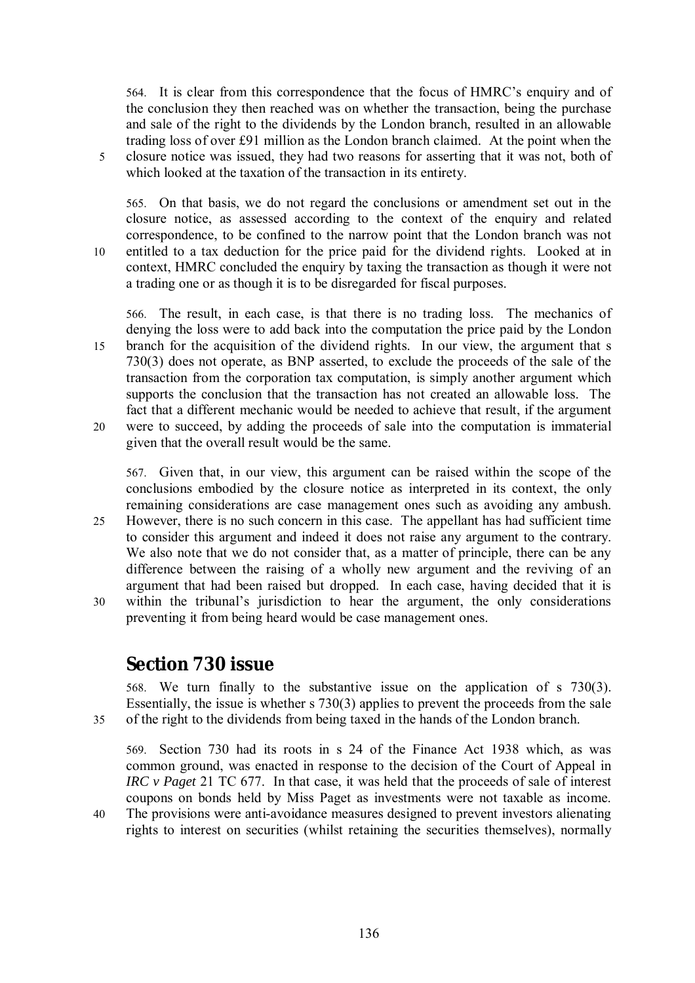564. It is clear from this correspondence that the focus of HMRC's enquiry and of the conclusion they then reached was on whether the transaction, being the purchase and sale of the right to the dividends by the London branch, resulted in an allowable trading loss of over £91 million as the London branch claimed. At the point when the 5 closure notice was issued, they had two reasons for asserting that it was not, both of which looked at the taxation of the transaction in its entirety.

565. On that basis, we do not regard the conclusions or amendment set out in the closure notice, as assessed according to the context of the enquiry and related correspondence, to be confined to the narrow point that the London branch was not 10 entitled to a tax deduction for the price paid for the dividend rights. Looked at in context, HMRC concluded the enquiry by taxing the transaction as though it were not a trading one or as though it is to be disregarded for fiscal purposes.

566. The result, in each case, is that there is no trading loss. The mechanics of denying the loss were to add back into the computation the price paid by the London 15 branch for the acquisition of the dividend rights. In our view, the argument that s 730(3) does not operate, as BNP asserted, to exclude the proceeds of the sale of the transaction from the corporation tax computation, is simply another argument which supports the conclusion that the transaction has not created an allowable loss. The fact that a different mechanic would be needed to achieve that result, if the argument

20 were to succeed, by adding the proceeds of sale into the computation is immaterial given that the overall result would be the same.

567. Given that, in our view, this argument can be raised within the scope of the conclusions embodied by the closure notice as interpreted in its context, the only remaining considerations are case management ones such as avoiding any ambush.

- 25 However, there is no such concern in this case. The appellant has had sufficient time to consider this argument and indeed it does not raise any argument to the contrary. We also note that we do not consider that, as a matter of principle, there can be any difference between the raising of a wholly new argument and the reviving of an argument that had been raised but dropped. In each case, having decided that it is 30 within the tribunal's jurisdiction to hear the argument, the only considerations
- preventing it from being heard would be case management ones.

# **Section 730 issue**

568. We turn finally to the substantive issue on the application of s 730(3). Essentially, the issue is whether s 730(3) applies to prevent the proceeds from the sale 35 of the right to the dividends from being taxed in the hands of the London branch.

569. Section 730 had its roots in s 24 of the Finance Act 1938 which, as was common ground, was enacted in response to the decision of the Court of Appeal in *IRC v Paget* 21 TC 677. In that case, it was held that the proceeds of sale of interest coupons on bonds held by Miss Paget as investments were not taxable as income.

- 40 The provisions were anti-avoidance measures designed to prevent investors alienating rights to interest on securities (whilst retaining the securities themselves), normally
	-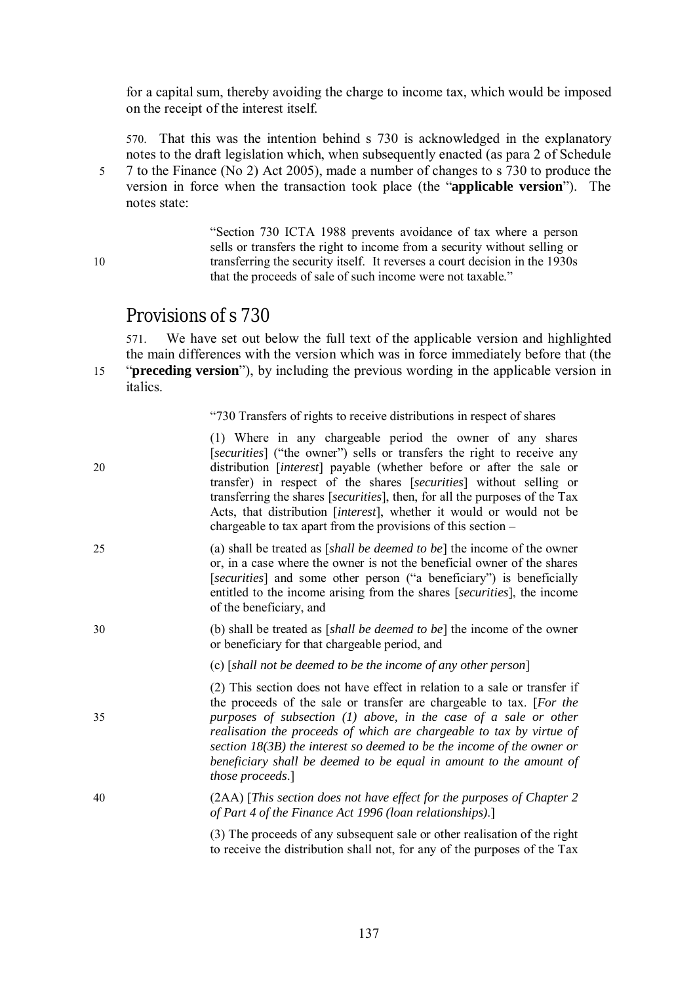for a capital sum, thereby avoiding the charge to income tax, which would be imposed on the receipt of the interest itself.

570. That this was the intention behind s 730 is acknowledged in the explanatory notes to the draft legislation which, when subsequently enacted (as para 2 of Schedule 5 7 to the Finance (No 2) Act 2005), made a number of changes to s 730 to produce the version in force when the transaction took place (the "**applicable version**"). The notes state:

"Section 730 ICTA 1988 prevents avoidance of tax where a person sells or transfers the right to income from a security without selling or 10 transferring the security itself. It reverses a court decision in the 1930s that the proceeds of sale of such income were not taxable."

## *Provisions of s 730*

571. We have set out below the full text of the applicable version and highlighted the main differences with the version which was in force immediately before that (the 15 "**preceding version**"), by including the previous wording in the applicable version in italics.

"730 Transfers of rights to receive distributions in respect of shares

| 20 | (1) Where in any chargeable period the owner of any shares<br>[securities] ("the owner") sells or transfers the right to receive any<br>distribution [interest] payable (whether before or after the sale or<br>transfer) in respect of the shares [securities] without selling or<br>transferring the shares [securities], then, for all the purposes of the Tax<br>Acts, that distribution [interest], whether it would or would not be<br>chargeable to tax apart from the provisions of this section $-$ |  |
|----|--------------------------------------------------------------------------------------------------------------------------------------------------------------------------------------------------------------------------------------------------------------------------------------------------------------------------------------------------------------------------------------------------------------------------------------------------------------------------------------------------------------|--|
| 25 | (a) shall be treated as [shall be deemed to be] the income of the owner<br>or, in a case where the owner is not the beneficial owner of the shares<br>[securities] and some other person ("a beneficiary") is beneficially<br>entitled to the income arising from the shares [securities], the income<br>of the beneficiary, and                                                                                                                                                                             |  |
| 30 | (b) shall be treated as [shall be deemed to be] the income of the owner<br>or beneficiary for that chargeable period, and                                                                                                                                                                                                                                                                                                                                                                                    |  |
|    | (c) [shall not be deemed to be the income of any other person]                                                                                                                                                                                                                                                                                                                                                                                                                                               |  |
| 35 | (2) This section does not have effect in relation to a sale or transfer if<br>the proceeds of the sale or transfer are chargeable to tax. [For the<br>purposes of subsection $(1)$ above, in the case of a sale or other<br>realisation the proceeds of which are chargeable to tax by virtue of<br>section $18(3B)$ the interest so deemed to be the income of the owner or<br>beneficiary shall be deemed to be equal in amount to the amount of<br>those proceeds.]                                       |  |
| 40 | (2AA) [This section does not have effect for the purposes of Chapter 2<br>of Part 4 of the Finance Act 1996 (loan relationships).]                                                                                                                                                                                                                                                                                                                                                                           |  |
|    | (3) The proceeds of any subsequent sale or other realisation of the right<br>to receive the distribution shall not, for any of the purposes of the Tax                                                                                                                                                                                                                                                                                                                                                       |  |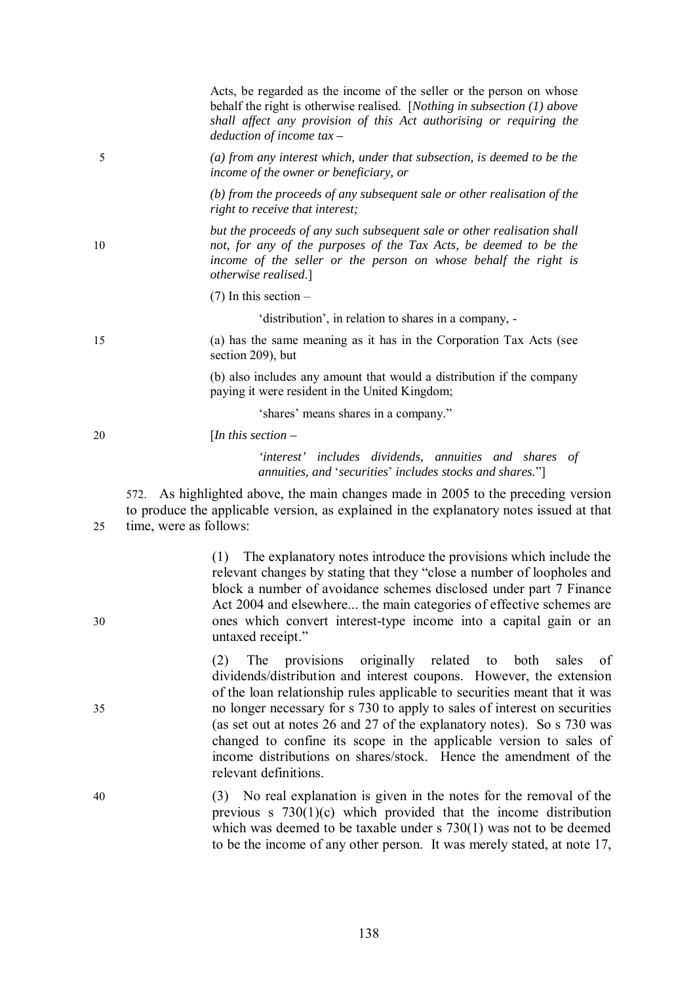Acts, be regarded as the income of the seller or the person on whose behalf the right is otherwise realised. [*Nothing in subsection (1) above shall affect any provision of this Act authorising or requiring the deduction of income tax –*

5 *(a) from any interest which, under that subsection, is deemed to be the income of the owner or beneficiary, or* 

> *(b) from the proceeds of any subsequent sale or other realisation of the right to receive that interest;*

*but the proceeds of any such subsequent sale or other realisation shall*  10 *not, for any of the purposes of the Tax Acts, be deemed to be the income of the seller or the person on whose behalf the right is otherwise realised*.]

 $(7)$  In this section –

'distribution', in relation to shares in a company, -

15 (a) has the same meaning as it has in the Corporation Tax Acts (see section 209), but

> (b) also includes any amount that would a distribution if the company paying it were resident in the United Kingdom;

> > 'shares' means shares in a company."

20 [*In this section –*

*'interest' includes dividends, annuities and shares of annuities, and* '*securities*' *includes stocks and shares.*"]

572. As highlighted above, the main changes made in 2005 to the preceding version to produce the applicable version, as explained in the explanatory notes issued at that 25 time, were as follows:

(1) The explanatory notes introduce the provisions which include the relevant changes by stating that they "close a number of loopholes and block a number of avoidance schemes disclosed under part 7 Finance Act 2004 and elsewhere... the main categories of effective schemes are 30 ones which convert interest-type income into a capital gain or an untaxed receipt."

(2) The provisions originally related to both sales of dividends/distribution and interest coupons. However, the extension of the loan relationship rules applicable to securities meant that it was 35 no longer necessary for s 730 to apply to sales of interest on securities (as set out at notes 26 and 27 of the explanatory notes). So s 730 was changed to confine its scope in the applicable version to sales of income distributions on shares/stock. Hence the amendment of the relevant definitions.

40 (3) No real explanation is given in the notes for the removal of the previous s 730(1)(c) which provided that the income distribution which was deemed to be taxable under s 730(1) was not to be deemed to be the income of any other person. It was merely stated, at note 17,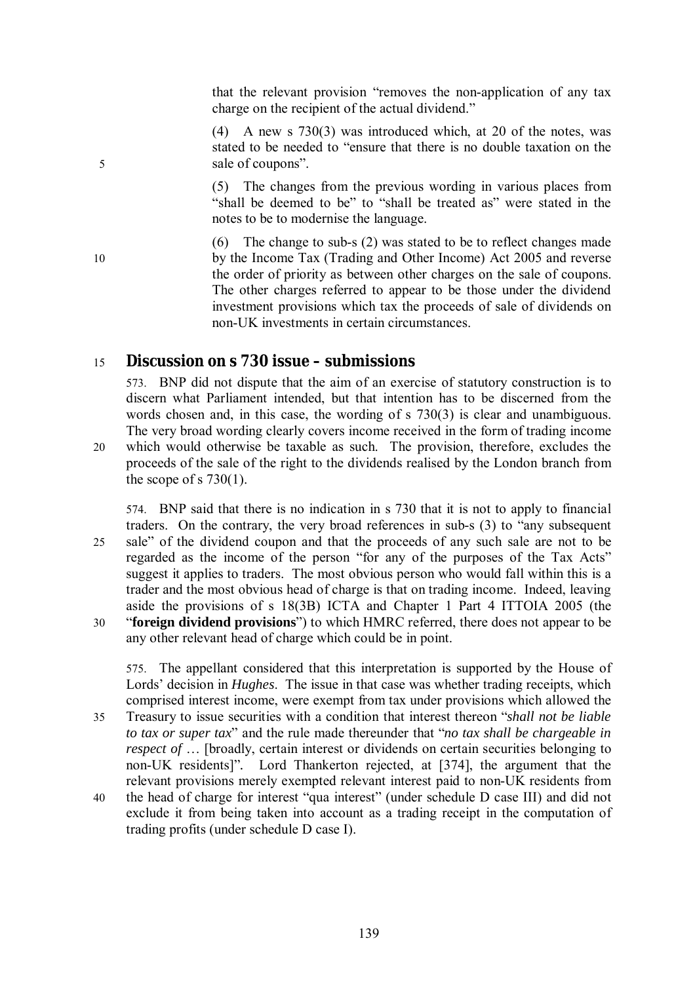that the relevant provision "removes the non-application of any tax charge on the recipient of the actual dividend."

(4) A new s 730(3) was introduced which, at 20 of the notes, was stated to be needed to "ensure that there is no double taxation on the 5 sale of coupons".

> (5) The changes from the previous wording in various places from "shall be deemed to be" to "shall be treated as" were stated in the notes to be to modernise the language.

(6) The change to sub-s (2) was stated to be to reflect changes made 10 by the Income Tax (Trading and Other Income) Act 2005 and reverse the order of priority as between other charges on the sale of coupons. The other charges referred to appear to be those under the dividend investment provisions which tax the proceeds of sale of dividends on non-UK investments in certain circumstances.

### 15 *Discussion on s 730 issue – submissions*

573. BNP did not dispute that the aim of an exercise of statutory construction is to discern what Parliament intended, but that intention has to be discerned from the words chosen and, in this case, the wording of s 730(3) is clear and unambiguous. The very broad wording clearly covers income received in the form of trading income 20 which would otherwise be taxable as such. The provision, therefore, excludes the

proceeds of the sale of the right to the dividends realised by the London branch from the scope of s  $730(1)$ .

574. BNP said that there is no indication in s 730 that it is not to apply to financial traders. On the contrary, the very broad references in sub-s (3) to "any subsequent 25 sale" of the dividend coupon and that the proceeds of any such sale are not to be regarded as the income of the person "for any of the purposes of the Tax Acts" suggest it applies to traders. The most obvious person who would fall within this is a trader and the most obvious head of charge is that on trading income. Indeed, leaving aside the provisions of s 18(3B) ICTA and Chapter 1 Part 4 ITTOIA 2005 (the 30 "**foreign dividend provisions**") to which HMRC referred, there does not appear to be any other relevant head of charge which could be in point.

575. The appellant considered that this interpretation is supported by the House of Lords' decision in *Hughes*. The issue in that case was whether trading receipts, which comprised interest income, were exempt from tax under provisions which allowed the 35 Treasury to issue securities with a condition that interest thereon "*shall not be liable to tax or super tax*" and the rule made thereunder that "*no tax shall be chargeable in respect of* ... [broadly, certain interest or dividends on certain securities belonging to non-UK residents]"*.* Lord Thankerton rejected, at [374], the argument that the relevant provisions merely exempted relevant interest paid to non-UK residents from

40 the head of charge for interest "qua interest" (under schedule D case III) and did not exclude it from being taken into account as a trading receipt in the computation of trading profits (under schedule D case I).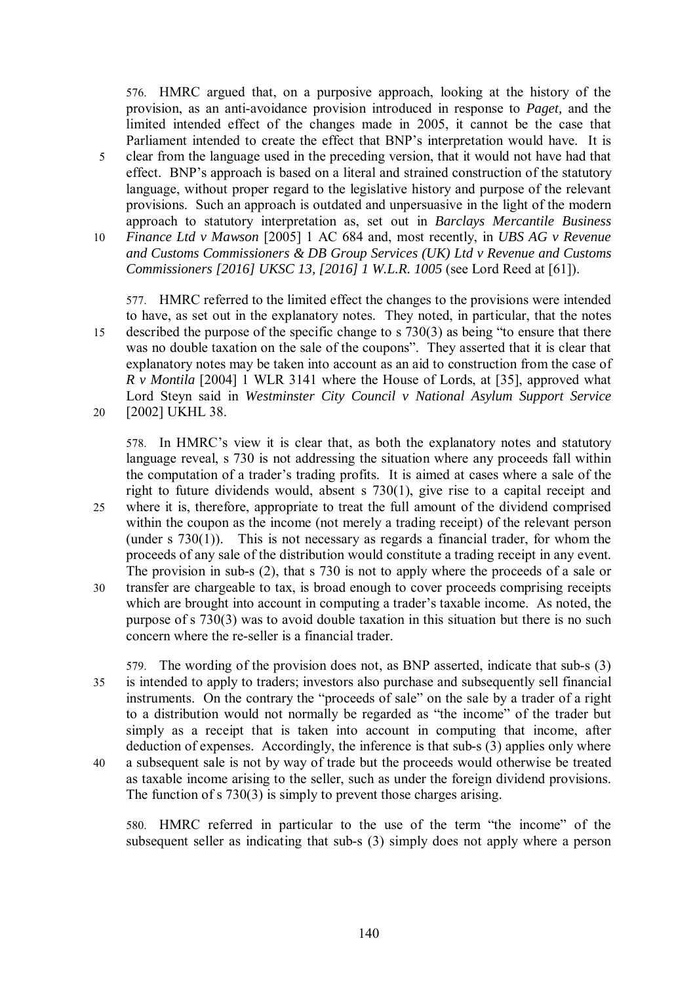576. HMRC argued that, on a purposive approach, looking at the history of the provision, as an anti-avoidance provision introduced in response to *Paget,* and the limited intended effect of the changes made in 2005, it cannot be the case that Parliament intended to create the effect that BNP's interpretation would have. It is 5 clear from the language used in the preceding version, that it would not have had that effect. BNP's approach is based on a literal and strained construction of the statutory language, without proper regard to the legislative history and purpose of the relevant provisions. Such an approach is outdated and unpersuasive in the light of the modern approach to statutory interpretation as, set out in *Barclays Mercantile Business* 

10 *Finance Ltd v Mawson* [2005] 1 AC 684 and, most recently, in *UBS AG v Revenue and Customs Commissioners & DB Group Services (UK) Ltd v Revenue and Customs Commissioners [2016] UKSC 13, [2016] 1 W.L.R. 1005* (see Lord Reed at [61]).

577. HMRC referred to the limited effect the changes to the provisions were intended to have, as set out in the explanatory notes. They noted, in particular, that the notes 15 described the purpose of the specific change to s 730(3) as being "to ensure that there was no double taxation on the sale of the coupons". They asserted that it is clear that explanatory notes may be taken into account as an aid to construction from the case of *R v Montila* [2004] 1 WLR 3141 where the House of Lords, at [35], approved what Lord Steyn said in *Westminster City Council v National Asylum Support Service* 20 [2002] UKHL 38.

578. In HMRC's view it is clear that, as both the explanatory notes and statutory language reveal, s 730 is not addressing the situation where any proceeds fall within the computation of a trader's trading profits. It is aimed at cases where a sale of the right to future dividends would, absent s 730(1), give rise to a capital receipt and 25 where it is, therefore, appropriate to treat the full amount of the dividend comprised within the coupon as the income (not merely a trading receipt) of the relevant person (under s 730(1)).This is not necessary as regards a financial trader, for whom the proceeds of any sale of the distribution would constitute a trading receipt in any event. The provision in sub-s (2), that s 730 is not to apply where the proceeds of a sale or

30 transfer are chargeable to tax, is broad enough to cover proceeds comprising receipts which are brought into account in computing a trader's taxable income. As noted, the purpose of s 730(3) was to avoid double taxation in this situation but there is no such concern where the re-seller is a financial trader.

579. The wording of the provision does not, as BNP asserted, indicate that sub-s (3) 35 is intended to apply to traders; investors also purchase and subsequently sell financial instruments. On the contrary the "proceeds of sale" on the sale by a trader of a right to a distribution would not normally be regarded as "the income" of the trader but simply as a receipt that is taken into account in computing that income, after deduction of expenses. Accordingly, the inference is that sub-s (3) applies only where 40 a subsequent sale is not by way of trade but the proceeds would otherwise be treated as taxable income arising to the seller, such as under the foreign dividend provisions. The function of s 730(3) is simply to prevent those charges arising.

580. HMRC referred in particular to the use of the term "the income" of the subsequent seller as indicating that sub-s (3) simply does not apply where a person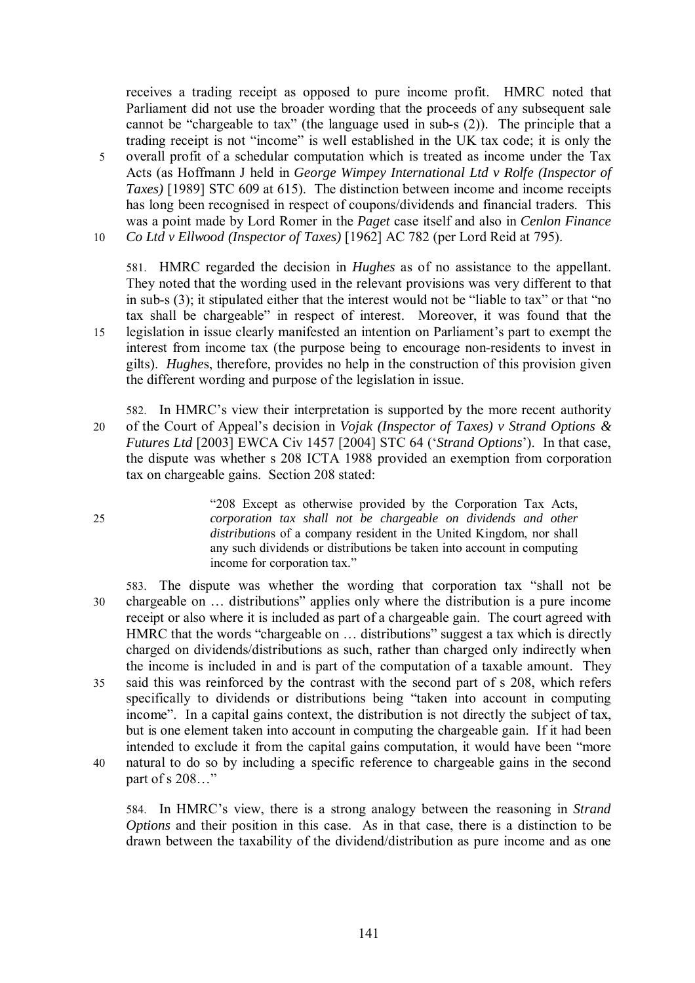receives a trading receipt as opposed to pure income profit. HMRC noted that Parliament did not use the broader wording that the proceeds of any subsequent sale cannot be "chargeable to tax" (the language used in sub-s (2)). The principle that a trading receipt is not "income" is well established in the UK tax code; it is only the 5 overall profit of a schedular computation which is treated as income under the Tax Acts (as Hoffmann J held in *George Wimpey International Ltd v Rolfe (Inspector of Taxes)* [1989] STC 609 at 615). The distinction between income and income receipts has long been recognised in respect of coupons/dividends and financial traders. This was a point made by Lord Romer in the *Paget* case itself and also in *Cenlon Finance* 

10 *Co Ltd v Ellwood (Inspector of Taxes)* [1962] AC 782 (per Lord Reid at 795).

581. HMRC regarded the decision in *Hughes* as of no assistance to the appellant. They noted that the wording used in the relevant provisions was very different to that in sub-s (3); it stipulated either that the interest would not be "liable to tax" or that "no tax shall be chargeable" in respect of interest. Moreover, it was found that the 15 legislation in issue clearly manifested an intention on Parliament's part to exempt the interest from income tax (the purpose being to encourage non-residents to invest in gilts). *Hughe*s, therefore, provides no help in the construction of this provision given the different wording and purpose of the legislation in issue.

582. In HMRC's view their interpretation is supported by the more recent authority 20 of the Court of Appeal's decision in *Vojak (Inspector of Taxes) v Strand Options & Futures Ltd* [2003] EWCA Civ 1457 [2004] STC 64 ('*Strand Options*'). In that case, the dispute was whether s 208 ICTA 1988 provided an exemption from corporation tax on chargeable gains. Section 208 stated:

"208 Except as otherwise provided by the Corporation Tax Acts, 25 *corporation tax shall not be chargeable on dividends and other distribution*s of a company resident in the United Kingdom, nor shall any such dividends or distributions be taken into account in computing income for corporation tax."

583. The dispute was whether the wording that corporation tax "shall not be 30 chargeable on … distributions" applies only where the distribution is a pure income receipt or also where it is included as part of a chargeable gain. The court agreed with HMRC that the words "chargeable on … distributions" suggest a tax which is directly charged on dividends/distributions as such, rather than charged only indirectly when the income is included in and is part of the computation of a taxable amount. They 35 said this was reinforced by the contrast with the second part of s 208, which refers specifically to dividends or distributions being "taken into account in computing income". In a capital gains context, the distribution is not directly the subject of tax, but is one element taken into account in computing the chargeable gain. If it had been intended to exclude it from the capital gains computation, it would have been "more 40 natural to do so by including a specific reference to chargeable gains in the second part of s 208..."

584. In HMRC's view, there is a strong analogy between the reasoning in *Strand Options* and their position in this case. As in that case, there is a distinction to be drawn between the taxability of the dividend/distribution as pure income and as one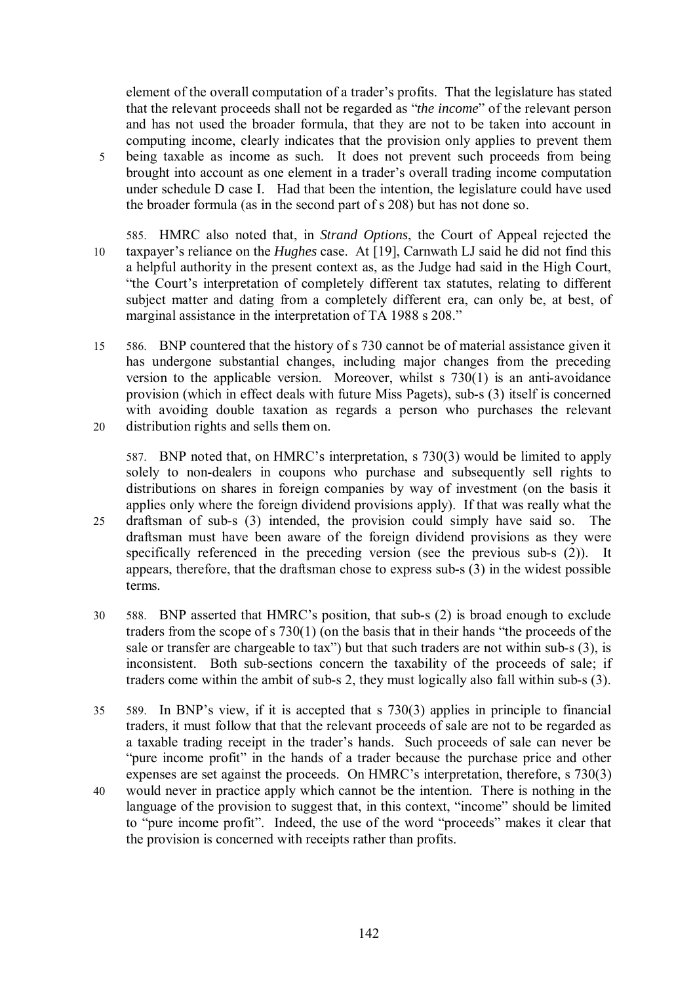element of the overall computation of a trader's profits. That the legislature has stated that the relevant proceeds shall not be regarded as "*the income*" of the relevant person and has not used the broader formula, that they are not to be taken into account in computing income, clearly indicates that the provision only applies to prevent them 5 being taxable as income as such. It does not prevent such proceeds from being brought into account as one element in a trader's overall trading income computation under schedule D case I. Had that been the intention, the legislature could have used the broader formula (as in the second part of s 208) but has not done so.

- 585. HMRC also noted that, in *Strand Options*, the Court of Appeal rejected the 10 taxpayer's reliance on the *Hughes* case. At [19], Carnwath LJ said he did not find this a helpful authority in the present context as, as the Judge had said in the High Court, "the Court's interpretation of completely different tax statutes, relating to different subject matter and dating from a completely different era, can only be, at best, of marginal assistance in the interpretation of TA 1988 s 208."
- 15 586. BNP countered that the history of s 730 cannot be of material assistance given it has undergone substantial changes, including major changes from the preceding version to the applicable version. Moreover, whilst s 730(1) is an anti-avoidance provision (which in effect deals with future Miss Pagets), sub-s (3) itself is concerned with avoiding double taxation as regards a person who purchases the relevant 20 distribution rights and sells them on.

587. BNP noted that, on HMRC's interpretation, s 730(3) would be limited to apply solely to non-dealers in coupons who purchase and subsequently sell rights to distributions on shares in foreign companies by way of investment (on the basis it applies only where the foreign dividend provisions apply). If that was really what the 25 draftsman of sub-s (3) intended, the provision could simply have said so. The draftsman must have been aware of the foreign dividend provisions as they were specifically referenced in the preceding version (see the previous sub-s (2)). It appears, therefore, that the draftsman chose to express sub-s (3) in the widest possible terms.

- 30 588. BNP asserted that HMRC's position, that sub-s (2) is broad enough to exclude traders from the scope of s 730(1) (on the basis that in their hands "the proceeds of the sale or transfer are chargeable to tax") but that such traders are not within sub-s (3), is inconsistent. Both sub-sections concern the taxability of the proceeds of sale; if traders come within the ambit of sub-s 2, they must logically also fall within sub-s (3).
- 35 589. In BNP's view, if it is accepted that s 730(3) applies in principle to financial traders, it must follow that that the relevant proceeds of sale are not to be regarded as a taxable trading receipt in the trader's hands. Such proceeds of sale can never be "pure income profit" in the hands of a trader because the purchase price and other expenses are set against the proceeds. On HMRC's interpretation, therefore, s 730(3)
- 40 would never in practice apply which cannot be the intention. There is nothing in the language of the provision to suggest that, in this context, "income" should be limited to "pure income profit". Indeed, the use of the word "proceeds" makes it clear that the provision is concerned with receipts rather than profits.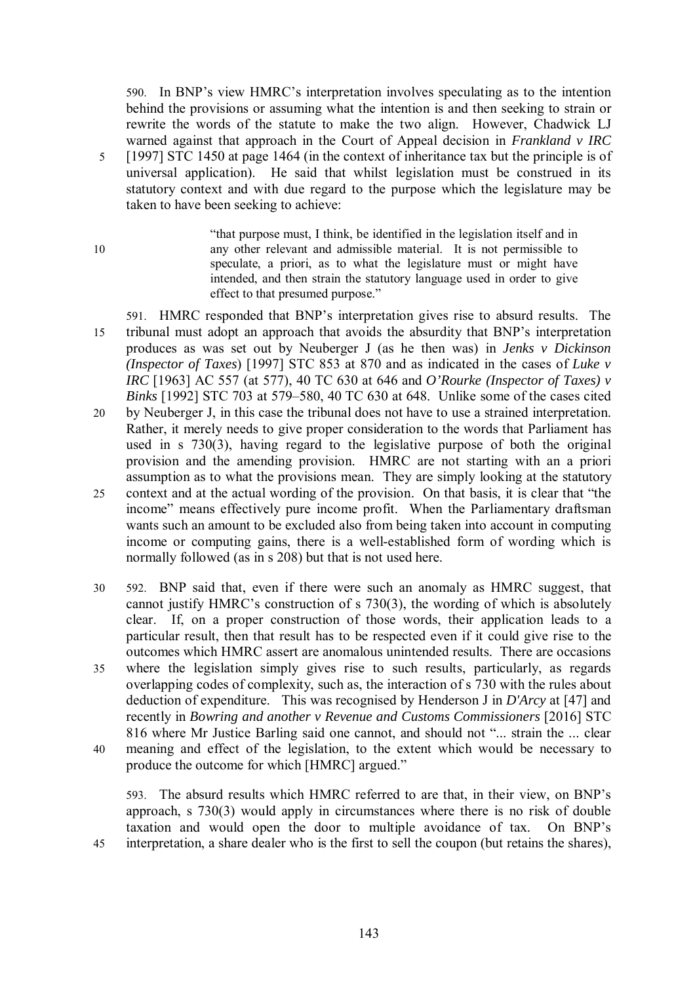590. In BNP's view HMRC's interpretation involves speculating as to the intention behind the provisions or assuming what the intention is and then seeking to strain or rewrite the words of the statute to make the two align. However, Chadwick LJ warned against that approach in the Court of Appeal decision in *Frankland v IRC* 5 [1997] STC 1450 at page 1464 (in the context of inheritance tax but the principle is of universal application). He said that whilst legislation must be construed in its statutory context and with due regard to the purpose which the legislature may be taken to have been seeking to achieve:

"that purpose must, I think, be identified in the legislation itself and in 10 any other relevant and admissible material. It is not permissible to speculate, a priori, as to what the legislature must or might have intended, and then strain the statutory language used in order to give effect to that presumed purpose."

591. HMRC responded that BNP's interpretation gives rise to absurd results. The 15 tribunal must adopt an approach that avoids the absurdity that BNP's interpretation produces as was set out by Neuberger J (as he then was) in *Jenks v Dickinson (Inspector of Taxes*) [1997] STC 853 at 870 and as indicated in the cases of *Luke v IRC* [1963] AC 557 (at 577), 40 TC 630 at 646 and *O'Rourke (Inspector of Taxes) v Binks* [1992] STC 703 at 579–580, 40 TC 630 at 648. Unlike some of the cases cited 20 by Neuberger J, in this case the tribunal does not have to use a strained interpretation. Rather, it merely needs to give proper consideration to the words that Parliament has used in s 730(3), having regard to the legislative purpose of both the original provision and the amending provision. HMRC are not starting with an a priori assumption as to what the provisions mean. They are simply looking at the statutory 25 context and at the actual wording of the provision. On that basis, it is clear that "the income" means effectively pure income profit. When the Parliamentary draftsman wants such an amount to be excluded also from being taken into account in computing income or computing gains, there is a well-established form of wording which is normally followed (as in s 208) but that is not used here.

30 592. BNP said that, even if there were such an anomaly as HMRC suggest, that cannot justify HMRC's construction of s 730(3), the wording of which is absolutely clear. If, on a proper construction of those words, their application leads to a particular result, then that result has to be respected even if it could give rise to the outcomes which HMRC assert are anomalous unintended results. There are occasions 35 where the legislation simply gives rise to such results, particularly, as regards overlapping codes of complexity, such as, the interaction of s 730 with the rules about deduction of expenditure. This was recognised by Henderson J in *D'Arcy* at [47] and recently in *Bowring and another v Revenue and Customs Commissioners* [2016] STC 816 where Mr Justice Barling said one cannot, and should not "... strain the ... clear 40 meaning and effect of the legislation, to the extent which would be necessary to produce the outcome for which [HMRC] argued."

593. The absurd results which HMRC referred to are that, in their view, on BNP's approach, s 730(3) would apply in circumstances where there is no risk of double taxation and would open the door to multiple avoidance of tax. On BNP's 45 interpretation, a share dealer who is the first to sell the coupon (but retains the shares),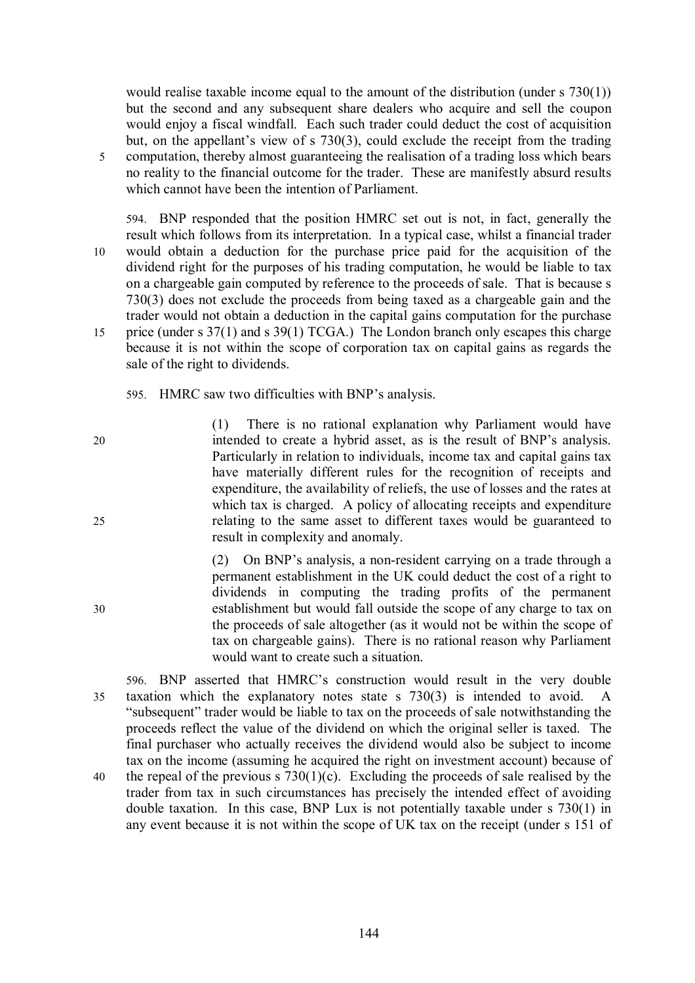would realise taxable income equal to the amount of the distribution (under s 730(1)) but the second and any subsequent share dealers who acquire and sell the coupon would enjoy a fiscal windfall. Each such trader could deduct the cost of acquisition but, on the appellant's view of s 730(3), could exclude the receipt from the trading 5 computation, thereby almost guaranteeing the realisation of a trading loss which bears no reality to the financial outcome for the trader. These are manifestly absurd results which cannot have been the intention of Parliament.

- 594. BNP responded that the position HMRC set out is not, in fact, generally the result which follows from its interpretation. In a typical case, whilst a financial trader 10 would obtain a deduction for the purchase price paid for the acquisition of the dividend right for the purposes of his trading computation, he would be liable to tax on a chargeable gain computed by reference to the proceeds of sale. That is because s 730(3) does not exclude the proceeds from being taxed as a chargeable gain and the trader would not obtain a deduction in the capital gains computation for the purchase 15 price (under s 37(1) and s 39(1) TCGA.) The London branch only escapes this charge because it is not within the scope of corporation tax on capital gains as regards the sale of the right to dividends.
	- 595. HMRC saw two difficulties with BNP's analysis.
- (1) There is no rational explanation why Parliament would have 20 intended to create a hybrid asset, as is the result of BNP's analysis. Particularly in relation to individuals, income tax and capital gains tax have materially different rules for the recognition of receipts and expenditure, the availability of reliefs, the use of losses and the rates at which tax is charged. A policy of allocating receipts and expenditure 25 relating to the same asset to different taxes would be guaranteed to result in complexity and anomaly.

(2) On BNP's analysis, a non-resident carrying on a trade through a permanent establishment in the UK could deduct the cost of a right to dividends in computing the trading profits of the permanent 30 establishment but would fall outside the scope of any charge to tax on the proceeds of sale altogether (as it would not be within the scope of tax on chargeable gains). There is no rational reason why Parliament would want to create such a situation.

596. BNP asserted that HMRC's construction would result in the very double 35 taxation which the explanatory notes state s 730(3) is intended to avoid. A "subsequent" trader would be liable to tax on the proceeds of sale notwithstanding the proceeds reflect the value of the dividend on which the original seller is taxed. The final purchaser who actually receives the dividend would also be subject to income tax on the income (assuming he acquired the right on investment account) because of 40 the repeal of the previous s  $730(1)(c)$ . Excluding the proceeds of sale realised by the trader from tax in such circumstances has precisely the intended effect of avoiding double taxation. In this case, BNP Lux is not potentially taxable under s 730(1) in any event because it is not within the scope of UK tax on the receipt (under s 151 of

- 
-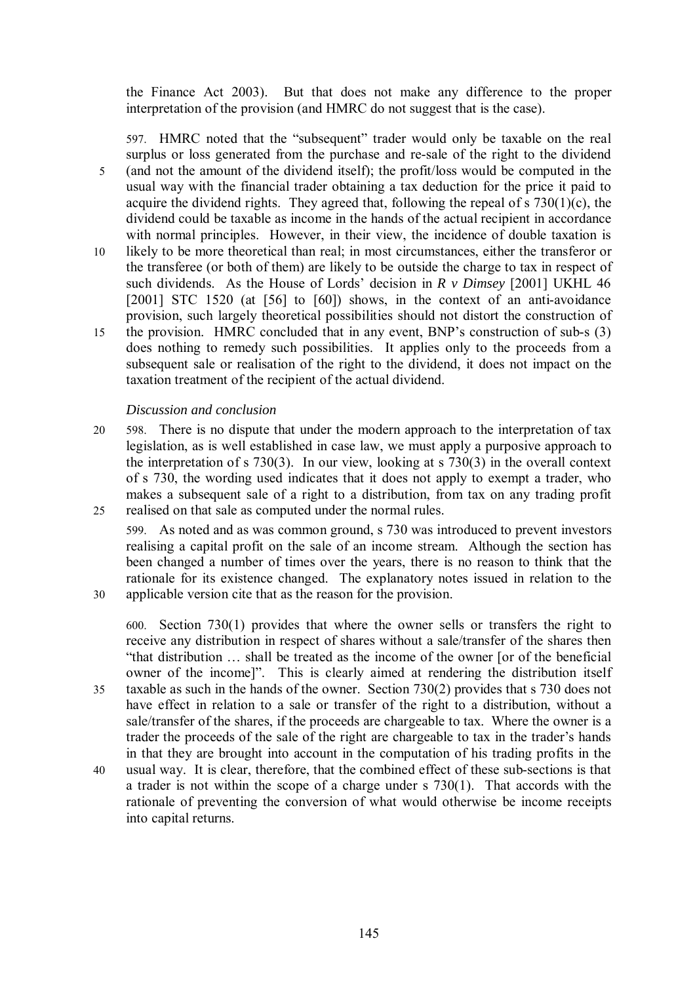the Finance Act 2003). But that does not make any difference to the proper interpretation of the provision (and HMRC do not suggest that is the case).

597. HMRC noted that the "subsequent" trader would only be taxable on the real surplus or loss generated from the purchase and re-sale of the right to the dividend 5 (and not the amount of the dividend itself); the profit/loss would be computed in the usual way with the financial trader obtaining a tax deduction for the price it paid to acquire the dividend rights. They agreed that, following the repeal of s  $730(1)(c)$ , the dividend could be taxable as income in the hands of the actual recipient in accordance with normal principles. However, in their view, the incidence of double taxation is 10 likely to be more theoretical than real; in most circumstances, either the transferor or the transferee (or both of them) are likely to be outside the charge to tax in respect of such dividends. As the House of Lords' decision in *R v Dimsey* [2001] UKHL 46 [2001] STC 1520 (at [56] to [60]) shows, in the context of an anti-avoidance provision, such largely theoretical possibilities should not distort the construction of 15 the provision. HMRC concluded that in any event, BNP's construction of sub-s (3) does nothing to remedy such possibilities. It applies only to the proceeds from a subsequent sale or realisation of the right to the dividend, it does not impact on the taxation treatment of the recipient of the actual dividend.

### *Discussion and conclusion*

20 598. There is no dispute that under the modern approach to the interpretation of tax legislation, as is well established in case law, we must apply a purposive approach to the interpretation of s 730(3). In our view, looking at s 730(3) in the overall context of s 730, the wording used indicates that it does not apply to exempt a trader, who makes a subsequent sale of a right to a distribution, from tax on any trading profit 25 realised on that sale as computed under the normal rules.

599. As noted and as was common ground, s 730 was introduced to prevent investors realising a capital profit on the sale of an income stream. Although the section has been changed a number of times over the years, there is no reason to think that the rationale for its existence changed. The explanatory notes issued in relation to the 30 applicable version cite that as the reason for the provision.

600. Section 730(1) provides that where the owner sells or transfers the right to receive any distribution in respect of shares without a sale/transfer of the shares then "that distribution … shall be treated as the income of the owner [or of the beneficial owner of the income]". This is clearly aimed at rendering the distribution itself 35 taxable as such in the hands of the owner. Section 730(2) provides that s 730 does not

- have effect in relation to a sale or transfer of the right to a distribution, without a sale/transfer of the shares, if the proceeds are chargeable to tax. Where the owner is a trader the proceeds of the sale of the right are chargeable to tax in the trader's hands in that they are brought into account in the computation of his trading profits in the
- 40 usual way. It is clear, therefore, that the combined effect of these sub-sections is that a trader is not within the scope of a charge under s 730(1). That accords with the rationale of preventing the conversion of what would otherwise be income receipts into capital returns.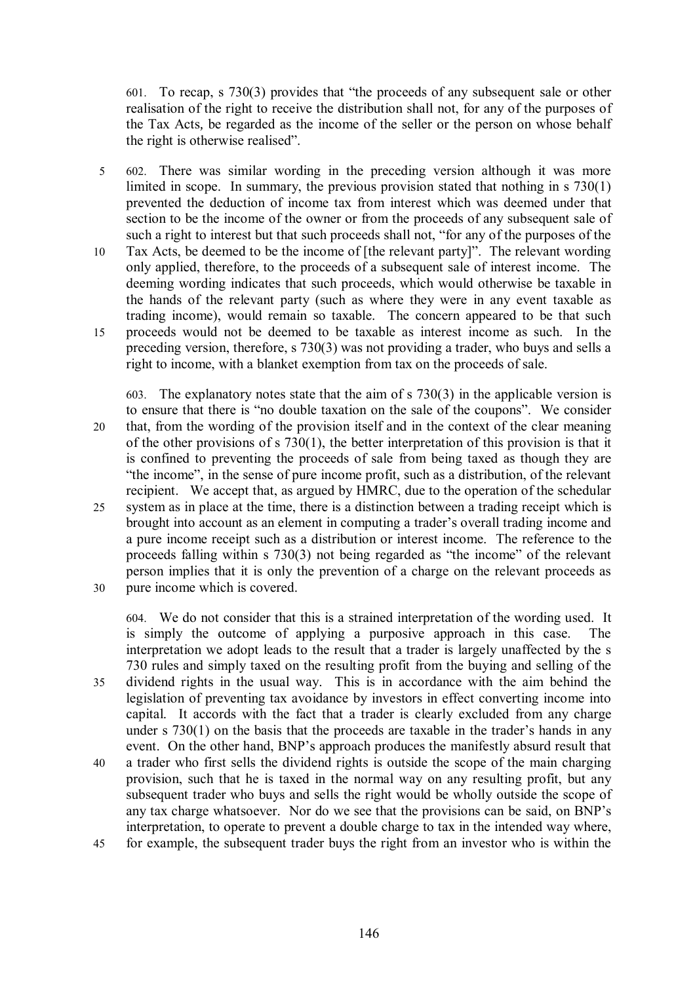601. To recap, s 730(3) provides that "the proceeds of any subsequent sale or other realisation of the right to receive the distribution shall not, for any of the purposes of the Tax Acts*,* be regarded as the income of the seller or the person on whose behalf the right is otherwise realised".

- 5 602. There was similar wording in the preceding version although it was more limited in scope. In summary, the previous provision stated that nothing in s 730(1) prevented the deduction of income tax from interest which was deemed under that section to be the income of the owner or from the proceeds of any subsequent sale of such a right to interest but that such proceeds shall not, "for any of the purposes of the 10 Tax Acts, be deemed to be the income of [the relevant party]". The relevant wording
- only applied, therefore, to the proceeds of a subsequent sale of interest income. The deeming wording indicates that such proceeds, which would otherwise be taxable in the hands of the relevant party (such as where they were in any event taxable as trading income), would remain so taxable. The concern appeared to be that such 15 proceeds would not be deemed to be taxable as interest income as such. In the preceding version, therefore, s 730(3) was not providing a trader, who buys and sells a right to income, with a blanket exemption from tax on the proceeds of sale.

603. The explanatory notes state that the aim of s 730(3) in the applicable version is to ensure that there is "no double taxation on the sale of the coupons". We consider 20 that, from the wording of the provision itself and in the context of the clear meaning of the other provisions of s 730(1), the better interpretation of this provision is that it is confined to preventing the proceeds of sale from being taxed as though they are "the income", in the sense of pure income profit, such as a distribution, of the relevant recipient. We accept that, as argued by HMRC, due to the operation of the schedular 25 system as in place at the time, there is a distinction between a trading receipt which is brought into account as an element in computing a trader's overall trading income and a pure income receipt such as a distribution or interest income. The reference to the proceeds falling within s 730(3) not being regarded as "the income" of the relevant person implies that it is only the prevention of a charge on the relevant proceeds as 30 pure income which is covered.

604. We do not consider that this is a strained interpretation of the wording used. It is simply the outcome of applying a purposive approach in this case. The interpretation we adopt leads to the result that a trader is largely unaffected by the s 730 rules and simply taxed on the resulting profit from the buying and selling of the 35 dividend rights in the usual way. This is in accordance with the aim behind the

- legislation of preventing tax avoidance by investors in effect converting income into capital. It accords with the fact that a trader is clearly excluded from any charge under s  $730(1)$  on the basis that the proceeds are taxable in the trader's hands in any event. On the other hand, BNP's approach produces the manifestly absurd result that
- 40 a trader who first sells the dividend rights is outside the scope of the main charging provision, such that he is taxed in the normal way on any resulting profit, but any subsequent trader who buys and sells the right would be wholly outside the scope of any tax charge whatsoever. Nor do we see that the provisions can be said, on BNP's interpretation, to operate to prevent a double charge to tax in the intended way where, 45 for example, the subsequent trader buys the right from an investor who is within the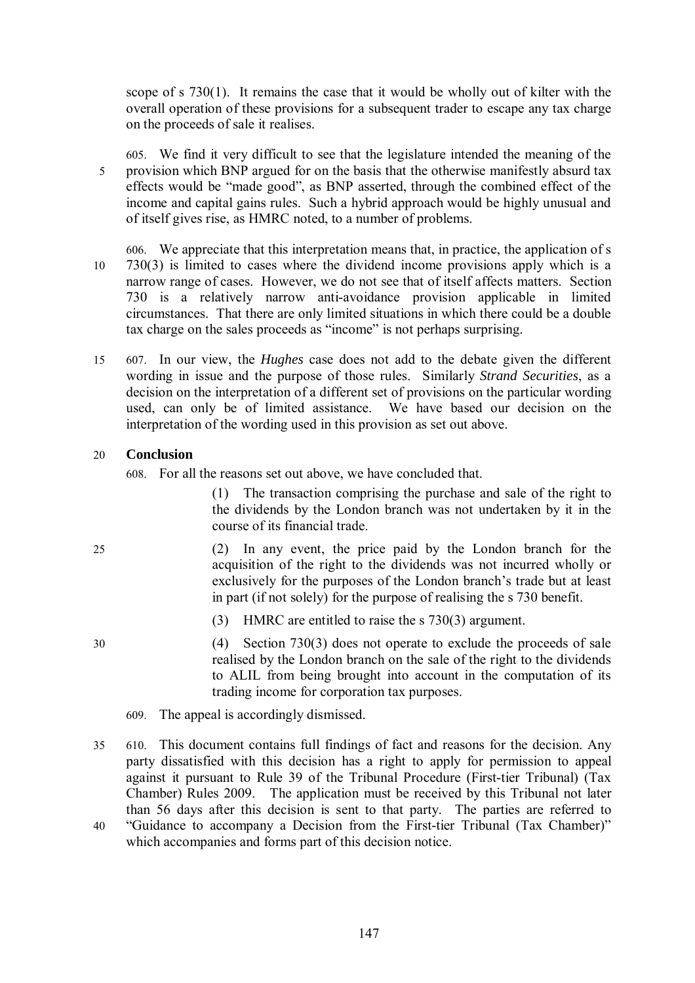scope of s 730(1). It remains the case that it would be wholly out of kilter with the overall operation of these provisions for a subsequent trader to escape any tax charge on the proceeds of sale it realises.

- 605. We find it very difficult to see that the legislature intended the meaning of the 5 provision which BNP argued for on the basis that the otherwise manifestly absurd tax effects would be "made good", as BNP asserted, through the combined effect of the income and capital gains rules. Such a hybrid approach would be highly unusual and of itself gives rise, as HMRC noted, to a number of problems.
- 606. We appreciate that this interpretation means that, in practice, the application of s 10 730(3) is limited to cases where the dividend income provisions apply which is a narrow range of cases. However, we do not see that of itself affects matters. Section 730 is a relatively narrow anti-avoidance provision applicable in limited circumstances. That there are only limited situations in which there could be a double tax charge on the sales proceeds as "income" is not perhaps surprising.
- 15 607. In our view, the *Hughes* case does not add to the debate given the different wording in issue and the purpose of those rules. Similarly *Strand Securities*, as a decision on the interpretation of a different set of provisions on the particular wording used, can only be of limited assistance. We have based our decision on the interpretation of the wording used in this provision as set out above.

### 20 **Conclusion**

608. For all the reasons set out above, we have concluded that.

(1) The transaction comprising the purchase and sale of the right to the dividends by the London branch was not undertaken by it in the course of its financial trade.

- 25 (2) In any event, the price paid by the London branch for the acquisition of the right to the dividends was not incurred wholly or exclusively for the purposes of the London branch's trade but at least in part (if not solely) for the purpose of realising the s 730 benefit.
	- (3) HMRC are entitled to raise the s 730(3) argument.
- 30 (4) Section 730(3) does not operate to exclude the proceeds of sale realised by the London branch on the sale of the right to the dividends to ALIL from being brought into account in the computation of its trading income for corporation tax purposes.
	- 609. The appeal is accordingly dismissed.
- 35 610. This document contains full findings of fact and reasons for the decision. Any party dissatisfied with this decision has a right to apply for permission to appeal against it pursuant to Rule 39 of the Tribunal Procedure (First-tier Tribunal) (Tax Chamber) Rules 2009. The application must be received by this Tribunal not later than 56 days after this decision is sent to that party. The parties are referred to 40 "Guidance to accompany a Decision from the First-tier Tribunal (Tax Chamber)" which accompanies and forms part of this decision notice.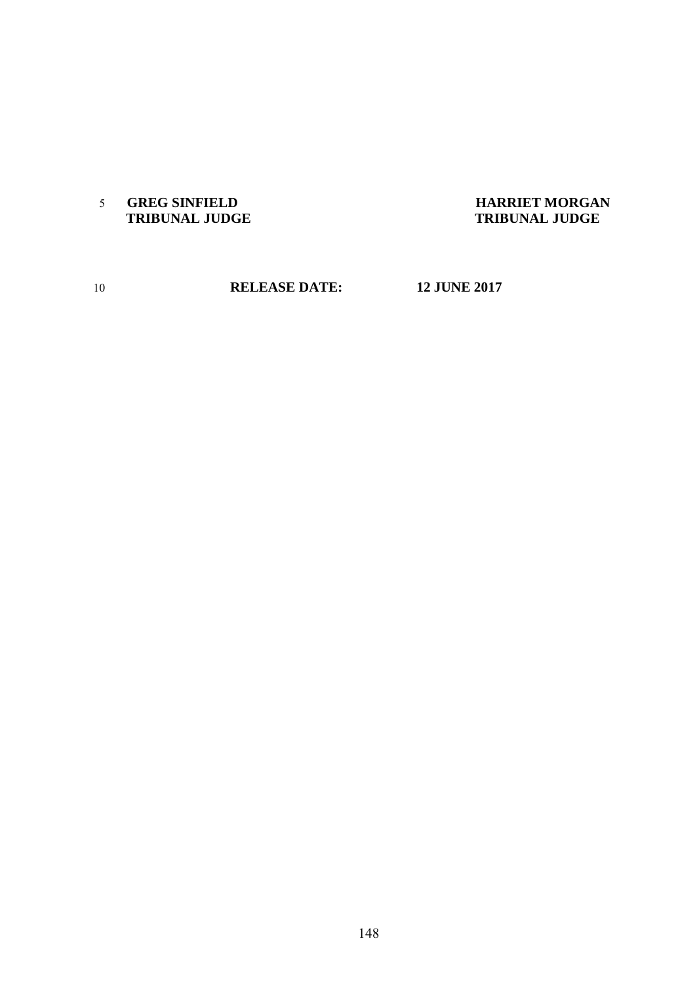**GREG SINFIELD HARRIET MORGAN**

# **TRIBUNAL JUDGE**

**RELEASE DATE: 12 JUNE 2017**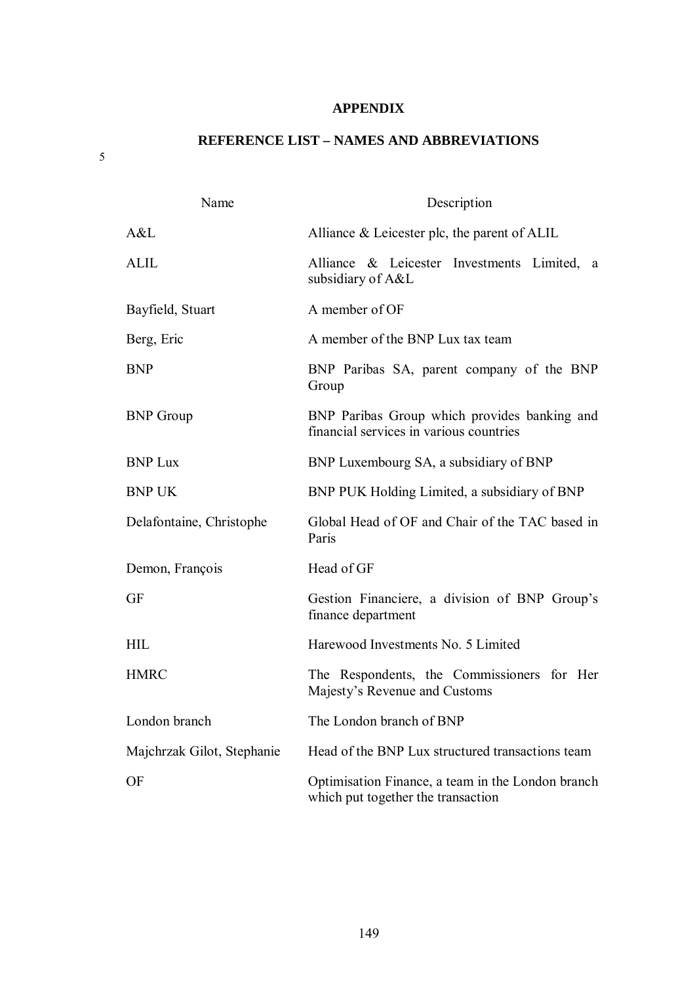### **APPENDIX**

## **REFERENCE LIST – NAMES AND ABBREVIATIONS**

Name Description A&L Alliance & Leicester plc, the parent of ALIL ALIL Alliance & Leicester Investments Limited, a subsidiary of A&L Bayfield, Stuart A member of OF Berg, Eric A member of the BNP Lux tax team BNP BNP Paribas SA, parent company of the BNP Group BNP Group BNP Paribas Group which provides banking and financial services in various countries BNP Luxembourg SA, a subsidiary of BNP BNP UK BNP PUK Holding Limited, a subsidiary of BNP Delafontaine, Christophe Global Head of OF and Chair of the TAC based in Paris Demon, François Head of GF GF Gestion Financiere, a division of BNP Group's finance department HIL Harewood Investments No. 5 Limited HMRC The Respondents, the Commissioners for Her Majesty's Revenue and Customs London branch The London branch of BNP Majchrzak Gilot, Stephanie Head of the BNP Lux structured transactions team OF Optimisation Finance, a team in the London branch which put together the transaction